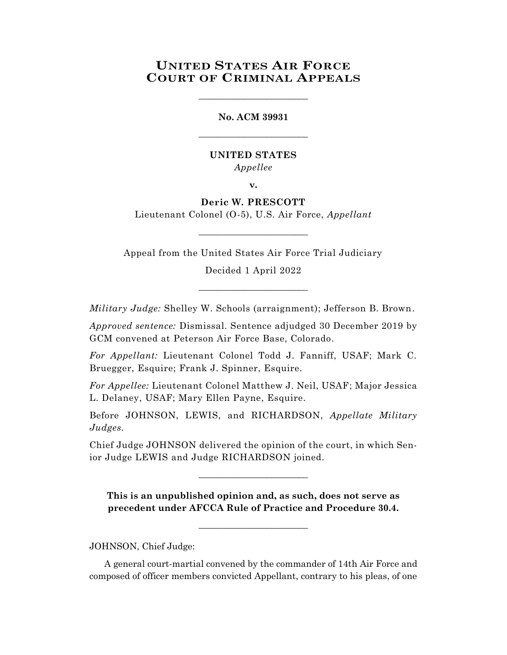# **UNITED STATES AIR FORCE COURT OF CRIMINAL APPEALS**

\_\_\_\_\_\_\_\_\_\_\_\_\_\_\_\_\_\_\_\_\_\_\_\_

**No. ACM 39931** \_\_\_\_\_\_\_\_\_\_\_\_\_\_\_\_\_\_\_\_\_\_\_\_

# **UNITED STATES** *Appellee*

**v.**

# **Deric W. PRESCOTT**

Lieutenant Colonel (O-5), U.S. Air Force, *Appellant* \_\_\_\_\_\_\_\_\_\_\_\_\_\_\_\_\_\_\_\_\_\_\_\_

Appeal from the United States Air Force Trial Judiciary

Decided 1 April 2022 \_\_\_\_\_\_\_\_\_\_\_\_\_\_\_\_\_\_\_\_\_\_\_\_

*Military Judge:* Shelley W. Schools (arraignment); Jefferson B. Brown.

*Approved sentence:* Dismissal. Sentence adjudged 30 December 2019 by GCM convened at Peterson Air Force Base, Colorado.

*For Appellant:* Lieutenant Colonel Todd J. Fanniff, USAF; Mark C. Bruegger, Esquire; Frank J. Spinner, Esquire.

*For Appellee:* Lieutenant Colonel Matthew J. Neil, USAF; Major Jessica L. Delaney, USAF; Mary Ellen Payne, Esquire.

Before JOHNSON, LEWIS, and RICHARDSON, *Appellate Military Judges.*

Chief Judge JOHNSON delivered the opinion of the court, in which Senior Judge LEWIS and Judge RICHARDSON joined.

\_\_\_\_\_\_\_\_\_\_\_\_\_\_\_\_\_\_\_\_\_\_\_\_

**This is an unpublished opinion and, as such, does not serve as precedent under AFCCA Rule of Practice and Procedure 30.4.**

\_\_\_\_\_\_\_\_\_\_\_\_\_\_\_\_\_\_\_\_\_\_\_\_

JOHNSON, Chief Judge:

A general court-martial convened by the commander of 14th Air Force and composed of officer members convicted Appellant, contrary to his pleas, of one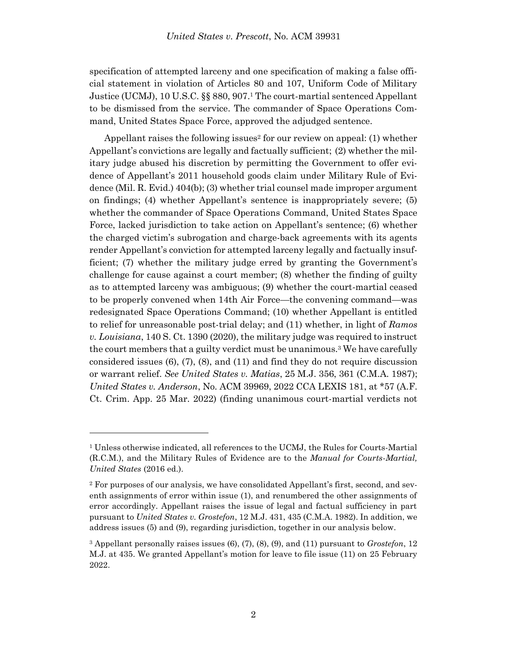specification of attempted larceny and one specification of making a false official statement in violation of Articles 80 and 107, Uniform Code of Military Justice (UCMJ), 10 U.S.C. §§ 880, 907.<sup>1</sup> The court-martial sentenced Appellant to be dismissed from the service. The commander of Space Operations Command, United States Space Force, approved the adjudged sentence.

Appellant raises the following issues<sup>2</sup> for our review on appeal: (1) whether Appellant's convictions are legally and factually sufficient; (2) whether the military judge abused his discretion by permitting the Government to offer evidence of Appellant's 2011 household goods claim under Military Rule of Evidence (Mil. R. Evid.) 404(b); (3) whether trial counsel made improper argument on findings; (4) whether Appellant's sentence is inappropriately severe; (5) whether the commander of Space Operations Command, United States Space Force, lacked jurisdiction to take action on Appellant's sentence; (6) whether the charged victim's subrogation and charge-back agreements with its agents render Appellant's conviction for attempted larceny legally and factually insufficient; (7) whether the military judge erred by granting the Government's challenge for cause against a court member; (8) whether the finding of guilty as to attempted larceny was ambiguous; (9) whether the court-martial ceased to be properly convened when 14th Air Force—the convening command—was redesignated Space Operations Command; (10) whether Appellant is entitled to relief for unreasonable post-trial delay; and (11) whether, in light of *Ramos v. Louisiana*, 140 S. Ct. 1390 (2020), the military judge was required to instruct the court members that a guilty verdict must be unanimous. <sup>3</sup> We have carefully considered issues  $(6)$ ,  $(7)$ ,  $(8)$ , and  $(11)$  and find they do not require discussion or warrant relief. *See United States v. Matias*, 25 M.J. 356, 361 (C.M.A. 1987); *United States v. Anderson*, No. ACM 39969, 2022 CCA LEXIS 181, at \*57 (A.F. Ct. Crim. App. 25 Mar. 2022) (finding unanimous court-martial verdicts not

<sup>1</sup> Unless otherwise indicated, all references to the UCMJ, the Rules for Courts-Martial (R.C.M.), and the Military Rules of Evidence are to the *Manual for Courts-Martial, United States* (2016 ed.).

<sup>2</sup> For purposes of our analysis, we have consolidated Appellant's first, second, and seventh assignments of error within issue (1), and renumbered the other assignments of error accordingly. Appellant raises the issue of legal and factual sufficiency in part pursuant to *United States v. Grostefon*, 12 M.J. 431, 435 (C.M.A. 1982). In addition, we address issues (5) and (9), regarding jurisdiction, together in our analysis below.

<sup>3</sup> Appellant personally raises issues (6), (7), (8), (9), and (11) pursuant to *Grostefon*, 12 M.J. at 435. We granted Appellant's motion for leave to file issue (11) on 25 February 2022.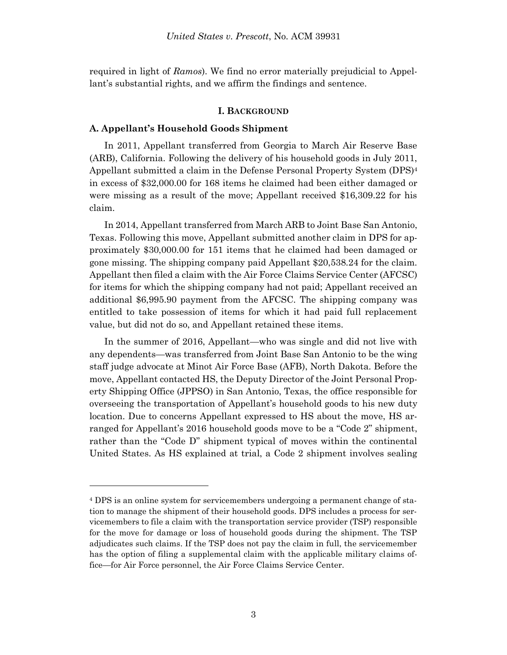required in light of *Ramos*). We find no error materially prejudicial to Appellant's substantial rights, and we affirm the findings and sentence.

#### **I. BACKGROUND**

### **A. Appellant's Household Goods Shipment**

l

In 2011, Appellant transferred from Georgia to March Air Reserve Base (ARB), California. Following the delivery of his household goods in July 2011, Appellant submitted a claim in the Defense Personal Property System (DPS)<sup>4</sup> in excess of \$32,000.00 for 168 items he claimed had been either damaged or were missing as a result of the move; Appellant received \$16,309.22 for his claim.

In 2014, Appellant transferred from March ARB to Joint Base San Antonio, Texas. Following this move, Appellant submitted another claim in DPS for approximately \$30,000.00 for 151 items that he claimed had been damaged or gone missing. The shipping company paid Appellant \$20,538.24 for the claim. Appellant then filed a claim with the Air Force Claims Service Center (AFCSC) for items for which the shipping company had not paid; Appellant received an additional \$6,995.90 payment from the AFCSC. The shipping company was entitled to take possession of items for which it had paid full replacement value, but did not do so, and Appellant retained these items.

In the summer of 2016, Appellant—who was single and did not live with any dependents—was transferred from Joint Base San Antonio to be the wing staff judge advocate at Minot Air Force Base (AFB), North Dakota. Before the move, Appellant contacted HS, the Deputy Director of the Joint Personal Property Shipping Office (JPPSO) in San Antonio, Texas, the office responsible for overseeing the transportation of Appellant's household goods to his new duty location. Due to concerns Appellant expressed to HS about the move, HS arranged for Appellant's 2016 household goods move to be a "Code 2" shipment, rather than the "Code D" shipment typical of moves within the continental United States. As HS explained at trial, a Code 2 shipment involves sealing

<sup>4</sup> DPS is an online system for servicemembers undergoing a permanent change of station to manage the shipment of their household goods. DPS includes a process for servicemembers to file a claim with the transportation service provider (TSP) responsible for the move for damage or loss of household goods during the shipment. The TSP adjudicates such claims. If the TSP does not pay the claim in full, the servicemember has the option of filing a supplemental claim with the applicable military claims office—for Air Force personnel, the Air Force Claims Service Center.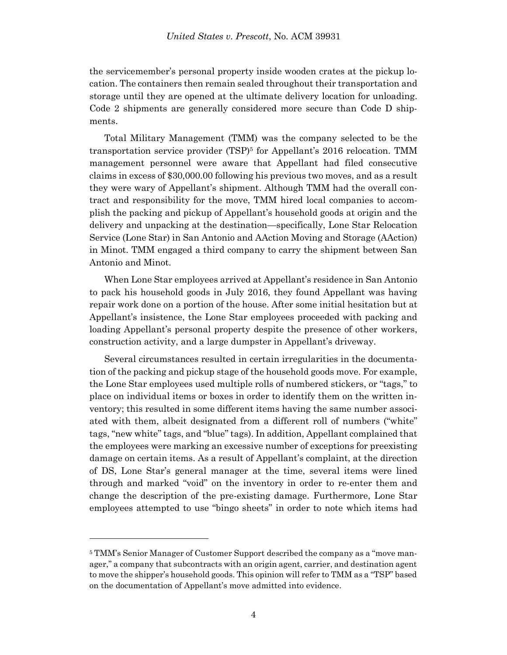the servicemember's personal property inside wooden crates at the pickup location. The containers then remain sealed throughout their transportation and storage until they are opened at the ultimate delivery location for unloading. Code 2 shipments are generally considered more secure than Code D shipments.

Total Military Management (TMM) was the company selected to be the transportation service provider (TSP)<sup>5</sup> for Appellant's 2016 relocation. TMM management personnel were aware that Appellant had filed consecutive claims in excess of \$30,000.00 following his previous two moves, and as a result they were wary of Appellant's shipment. Although TMM had the overall contract and responsibility for the move, TMM hired local companies to accomplish the packing and pickup of Appellant's household goods at origin and the delivery and unpacking at the destination—specifically, Lone Star Relocation Service (Lone Star) in San Antonio and AAction Moving and Storage (AAction) in Minot. TMM engaged a third company to carry the shipment between San Antonio and Minot.

When Lone Star employees arrived at Appellant's residence in San Antonio to pack his household goods in July 2016, they found Appellant was having repair work done on a portion of the house. After some initial hesitation but at Appellant's insistence, the Lone Star employees proceeded with packing and loading Appellant's personal property despite the presence of other workers, construction activity, and a large dumpster in Appellant's driveway.

Several circumstances resulted in certain irregularities in the documentation of the packing and pickup stage of the household goods move. For example, the Lone Star employees used multiple rolls of numbered stickers, or "tags," to place on individual items or boxes in order to identify them on the written inventory; this resulted in some different items having the same number associated with them, albeit designated from a different roll of numbers ("white" tags, "new white" tags, and "blue" tags). In addition, Appellant complained that the employees were marking an excessive number of exceptions for preexisting damage on certain items. As a result of Appellant's complaint, at the direction of DS, Lone Star's general manager at the time, several items were lined through and marked "void" on the inventory in order to re-enter them and change the description of the pre-existing damage. Furthermore, Lone Star employees attempted to use "bingo sheets" in order to note which items had

<sup>5</sup> TMM's Senior Manager of Customer Support described the company as a "move manager," a company that subcontracts with an origin agent, carrier, and destination agent to move the shipper's household goods. This opinion will refer to TMM as a "TSP" based on the documentation of Appellant's move admitted into evidence.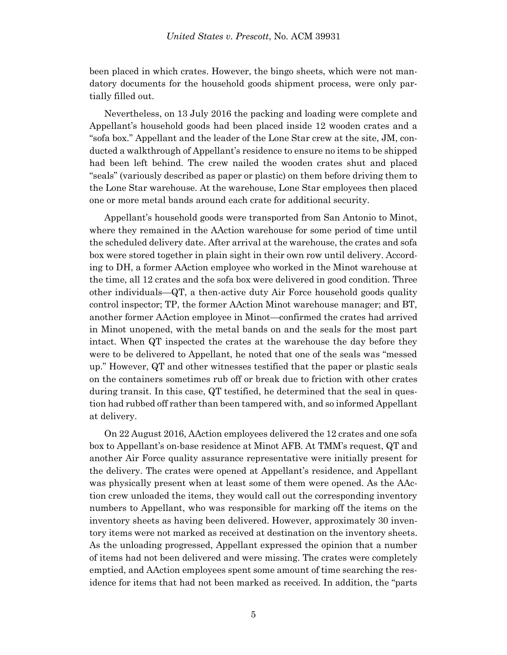been placed in which crates. However, the bingo sheets, which were not mandatory documents for the household goods shipment process, were only partially filled out.

Nevertheless, on 13 July 2016 the packing and loading were complete and Appellant's household goods had been placed inside 12 wooden crates and a "sofa box." Appellant and the leader of the Lone Star crew at the site, JM, conducted a walkthrough of Appellant's residence to ensure no items to be shipped had been left behind. The crew nailed the wooden crates shut and placed "seals" (variously described as paper or plastic) on them before driving them to the Lone Star warehouse. At the warehouse, Lone Star employees then placed one or more metal bands around each crate for additional security.

Appellant's household goods were transported from San Antonio to Minot, where they remained in the AAction warehouse for some period of time until the scheduled delivery date. After arrival at the warehouse, the crates and sofa box were stored together in plain sight in their own row until delivery. According to DH, a former AAction employee who worked in the Minot warehouse at the time, all 12 crates and the sofa box were delivered in good condition. Three other individuals—QT, a then-active duty Air Force household goods quality control inspector; TP, the former AAction Minot warehouse manager; and BT, another former AAction employee in Minot—confirmed the crates had arrived in Minot unopened, with the metal bands on and the seals for the most part intact. When QT inspected the crates at the warehouse the day before they were to be delivered to Appellant, he noted that one of the seals was "messed up." However, QT and other witnesses testified that the paper or plastic seals on the containers sometimes rub off or break due to friction with other crates during transit. In this case, QT testified, he determined that the seal in question had rubbed off rather than been tampered with, and so informed Appellant at delivery.

On 22 August 2016, AAction employees delivered the 12 crates and one sofa box to Appellant's on-base residence at Minot AFB. At TMM's request, QT and another Air Force quality assurance representative were initially present for the delivery. The crates were opened at Appellant's residence, and Appellant was physically present when at least some of them were opened. As the AAction crew unloaded the items, they would call out the corresponding inventory numbers to Appellant, who was responsible for marking off the items on the inventory sheets as having been delivered. However, approximately 30 inventory items were not marked as received at destination on the inventory sheets. As the unloading progressed, Appellant expressed the opinion that a number of items had not been delivered and were missing. The crates were completely emptied, and AAction employees spent some amount of time searching the residence for items that had not been marked as received. In addition, the "parts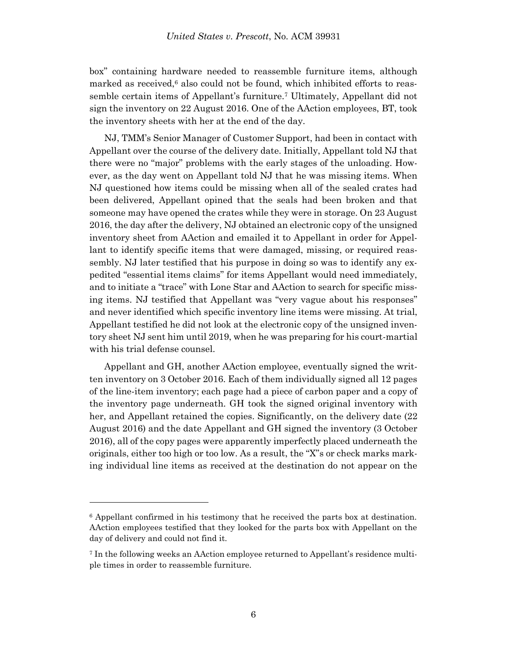box" containing hardware needed to reassemble furniture items, although marked as received, $6$  also could not be found, which inhibited efforts to reassemble certain items of Appellant's furniture.<sup>7</sup> Ultimately, Appellant did not sign the inventory on 22 August 2016. One of the AAction employees, BT, took the inventory sheets with her at the end of the day.

NJ, TMM's Senior Manager of Customer Support, had been in contact with Appellant over the course of the delivery date. Initially, Appellant told NJ that there were no "major" problems with the early stages of the unloading. However, as the day went on Appellant told NJ that he was missing items. When NJ questioned how items could be missing when all of the sealed crates had been delivered, Appellant opined that the seals had been broken and that someone may have opened the crates while they were in storage. On 23 August 2016, the day after the delivery, NJ obtained an electronic copy of the unsigned inventory sheet from AAction and emailed it to Appellant in order for Appellant to identify specific items that were damaged, missing, or required reassembly. NJ later testified that his purpose in doing so was to identify any expedited "essential items claims" for items Appellant would need immediately, and to initiate a "trace" with Lone Star and AAction to search for specific missing items. NJ testified that Appellant was "very vague about his responses" and never identified which specific inventory line items were missing. At trial, Appellant testified he did not look at the electronic copy of the unsigned inventory sheet NJ sent him until 2019, when he was preparing for his court-martial with his trial defense counsel.

Appellant and GH, another AAction employee, eventually signed the written inventory on 3 October 2016. Each of them individually signed all 12 pages of the line-item inventory; each page had a piece of carbon paper and a copy of the inventory page underneath. GH took the signed original inventory with her, and Appellant retained the copies. Significantly, on the delivery date (22 August 2016) and the date Appellant and GH signed the inventory (3 October 2016), all of the copy pages were apparently imperfectly placed underneath the originals, either too high or too low. As a result, the "X"s or check marks marking individual line items as received at the destination do not appear on the

<sup>6</sup> Appellant confirmed in his testimony that he received the parts box at destination. AAction employees testified that they looked for the parts box with Appellant on the day of delivery and could not find it.

<sup>7</sup> In the following weeks an AAction employee returned to Appellant's residence multiple times in order to reassemble furniture.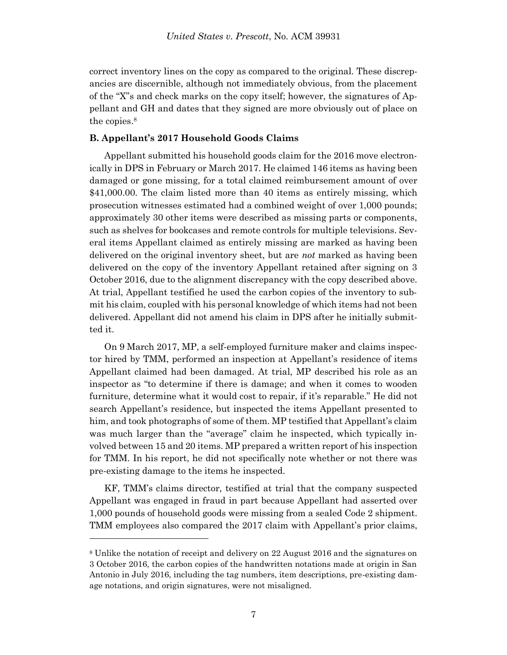correct inventory lines on the copy as compared to the original. These discrepancies are discernible, although not immediately obvious, from the placement of the "X"s and check marks on the copy itself; however, the signatures of Appellant and GH and dates that they signed are more obviously out of place on the copies. 8

### **B. Appellant's 2017 Household Goods Claims**

Appellant submitted his household goods claim for the 2016 move electronically in DPS in February or March 2017. He claimed 146 items as having been damaged or gone missing, for a total claimed reimbursement amount of over \$41,000.00. The claim listed more than 40 items as entirely missing, which prosecution witnesses estimated had a combined weight of over 1,000 pounds; approximately 30 other items were described as missing parts or components, such as shelves for bookcases and remote controls for multiple televisions. Several items Appellant claimed as entirely missing are marked as having been delivered on the original inventory sheet, but are *not* marked as having been delivered on the copy of the inventory Appellant retained after signing on 3 October 2016, due to the alignment discrepancy with the copy described above. At trial, Appellant testified he used the carbon copies of the inventory to submit his claim, coupled with his personal knowledge of which items had not been delivered. Appellant did not amend his claim in DPS after he initially submitted it.

On 9 March 2017, MP, a self-employed furniture maker and claims inspector hired by TMM, performed an inspection at Appellant's residence of items Appellant claimed had been damaged. At trial, MP described his role as an inspector as "to determine if there is damage; and when it comes to wooden furniture, determine what it would cost to repair, if it's reparable." He did not search Appellant's residence, but inspected the items Appellant presented to him, and took photographs of some of them. MP testified that Appellant's claim was much larger than the "average" claim he inspected, which typically involved between 15 and 20 items. MP prepared a written report of his inspection for TMM. In his report, he did not specifically note whether or not there was pre-existing damage to the items he inspected.

KF, TMM's claims director, testified at trial that the company suspected Appellant was engaged in fraud in part because Appellant had asserted over 1,000 pounds of household goods were missing from a sealed Code 2 shipment. TMM employees also compared the 2017 claim with Appellant's prior claims,

<sup>8</sup> Unlike the notation of receipt and delivery on 22 August 2016 and the signatures on 3 October 2016, the carbon copies of the handwritten notations made at origin in San Antonio in July 2016, including the tag numbers, item descriptions, pre-existing damage notations, and origin signatures, were not misaligned.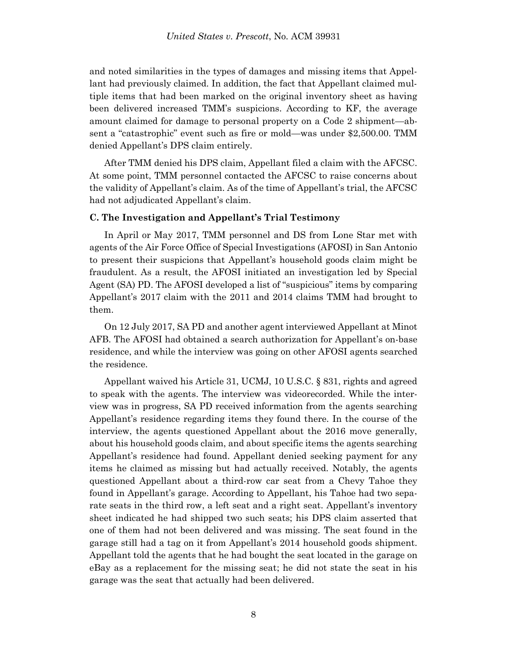and noted similarities in the types of damages and missing items that Appellant had previously claimed. In addition, the fact that Appellant claimed multiple items that had been marked on the original inventory sheet as having been delivered increased TMM's suspicions. According to KF, the average amount claimed for damage to personal property on a Code 2 shipment—absent a "catastrophic" event such as fire or mold—was under \$2,500.00. TMM denied Appellant's DPS claim entirely.

After TMM denied his DPS claim, Appellant filed a claim with the AFCSC. At some point, TMM personnel contacted the AFCSC to raise concerns about the validity of Appellant's claim. As of the time of Appellant's trial, the AFCSC had not adjudicated Appellant's claim.

### **C. The Investigation and Appellant's Trial Testimony**

In April or May 2017, TMM personnel and DS from Lone Star met with agents of the Air Force Office of Special Investigations (AFOSI) in San Antonio to present their suspicions that Appellant's household goods claim might be fraudulent. As a result, the AFOSI initiated an investigation led by Special Agent (SA) PD. The AFOSI developed a list of "suspicious" items by comparing Appellant's 2017 claim with the 2011 and 2014 claims TMM had brought to them.

On 12 July 2017, SA PD and another agent interviewed Appellant at Minot AFB. The AFOSI had obtained a search authorization for Appellant's on-base residence, and while the interview was going on other AFOSI agents searched the residence.

Appellant waived his Article 31, UCMJ, 10 U.S.C. § 831, rights and agreed to speak with the agents. The interview was videorecorded. While the interview was in progress, SA PD received information from the agents searching Appellant's residence regarding items they found there. In the course of the interview, the agents questioned Appellant about the 2016 move generally, about his household goods claim, and about specific items the agents searching Appellant's residence had found. Appellant denied seeking payment for any items he claimed as missing but had actually received. Notably, the agents questioned Appellant about a third-row car seat from a Chevy Tahoe they found in Appellant's garage. According to Appellant, his Tahoe had two separate seats in the third row, a left seat and a right seat. Appellant's inventory sheet indicated he had shipped two such seats; his DPS claim asserted that one of them had not been delivered and was missing. The seat found in the garage still had a tag on it from Appellant's 2014 household goods shipment. Appellant told the agents that he had bought the seat located in the garage on eBay as a replacement for the missing seat; he did not state the seat in his garage was the seat that actually had been delivered.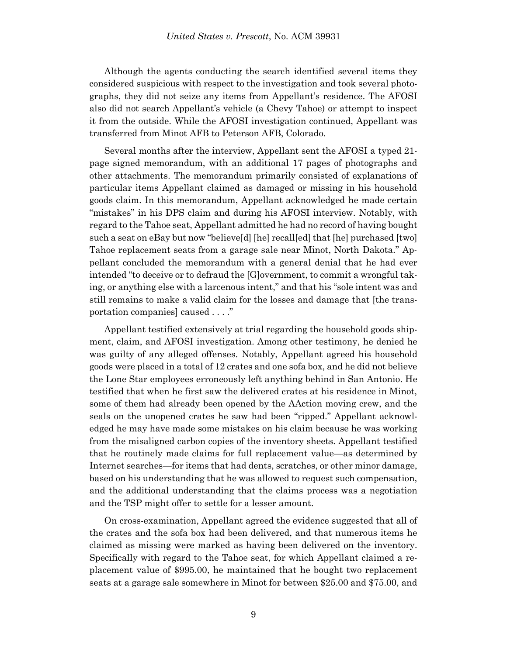Although the agents conducting the search identified several items they considered suspicious with respect to the investigation and took several photographs, they did not seize any items from Appellant's residence. The AFOSI also did not search Appellant's vehicle (a Chevy Tahoe) or attempt to inspect it from the outside. While the AFOSI investigation continued, Appellant was transferred from Minot AFB to Peterson AFB, Colorado.

Several months after the interview, Appellant sent the AFOSI a typed 21 page signed memorandum, with an additional 17 pages of photographs and other attachments. The memorandum primarily consisted of explanations of particular items Appellant claimed as damaged or missing in his household goods claim. In this memorandum, Appellant acknowledged he made certain "mistakes" in his DPS claim and during his AFOSI interview. Notably, with regard to the Tahoe seat, Appellant admitted he had no record of having bought such a seat on eBay but now "believe[d] [he] recall[ed] that [he] purchased [two] Tahoe replacement seats from a garage sale near Minot, North Dakota." Appellant concluded the memorandum with a general denial that he had ever intended "to deceive or to defraud the [G]overnment, to commit a wrongful taking, or anything else with a larcenous intent," and that his "sole intent was and still remains to make a valid claim for the losses and damage that [the transportation companies] caused . . . ."

Appellant testified extensively at trial regarding the household goods shipment, claim, and AFOSI investigation. Among other testimony, he denied he was guilty of any alleged offenses. Notably, Appellant agreed his household goods were placed in a total of 12 crates and one sofa box, and he did not believe the Lone Star employees erroneously left anything behind in San Antonio. He testified that when he first saw the delivered crates at his residence in Minot, some of them had already been opened by the AAction moving crew, and the seals on the unopened crates he saw had been "ripped." Appellant acknowledged he may have made some mistakes on his claim because he was working from the misaligned carbon copies of the inventory sheets. Appellant testified that he routinely made claims for full replacement value—as determined by Internet searches—for items that had dents, scratches, or other minor damage, based on his understanding that he was allowed to request such compensation, and the additional understanding that the claims process was a negotiation and the TSP might offer to settle for a lesser amount.

On cross-examination, Appellant agreed the evidence suggested that all of the crates and the sofa box had been delivered, and that numerous items he claimed as missing were marked as having been delivered on the inventory. Specifically with regard to the Tahoe seat, for which Appellant claimed a replacement value of \$995.00, he maintained that he bought two replacement seats at a garage sale somewhere in Minot for between \$25.00 and \$75.00, and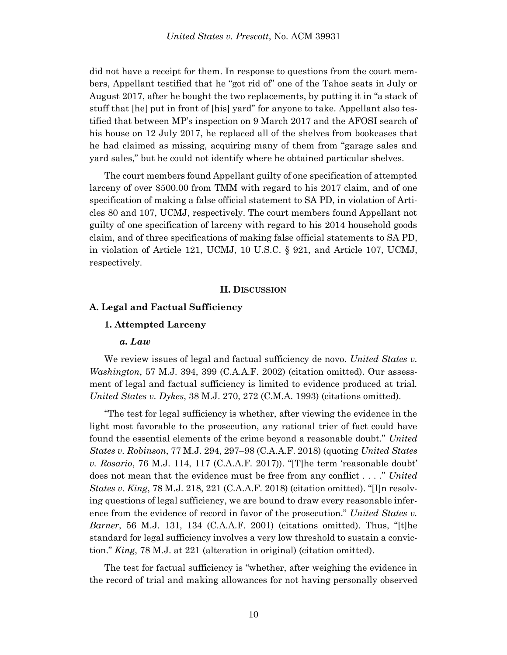did not have a receipt for them. In response to questions from the court members, Appellant testified that he "got rid of" one of the Tahoe seats in July or August 2017, after he bought the two replacements, by putting it in "a stack of stuff that [he] put in front of [his] yard" for anyone to take. Appellant also testified that between MP's inspection on 9 March 2017 and the AFOSI search of his house on 12 July 2017, he replaced all of the shelves from bookcases that he had claimed as missing, acquiring many of them from "garage sales and yard sales," but he could not identify where he obtained particular shelves.

The court members found Appellant guilty of one specification of attempted larceny of over \$500.00 from TMM with regard to his 2017 claim, and of one specification of making a false official statement to SA PD, in violation of Articles 80 and 107, UCMJ, respectively. The court members found Appellant not guilty of one specification of larceny with regard to his 2014 household goods claim, and of three specifications of making false official statements to SA PD, in violation of Article 121, UCMJ, 10 U.S.C. § 921, and Article 107, UCMJ, respectively.

#### **II. DISCUSSION**

#### **A. Legal and Factual Sufficiency**

### **1. Attempted Larceny**

#### *a. Law*

We review issues of legal and factual sufficiency de novo. *United States v. Washington*, 57 M.J. 394, 399 (C.A.A.F. 2002) (citation omitted). Our assessment of legal and factual sufficiency is limited to evidence produced at trial. *United States v. Dykes*, 38 M.J. 270, 272 (C.M.A. 1993) (citations omitted).

"The test for legal sufficiency is whether, after viewing the evidence in the light most favorable to the prosecution, any rational trier of fact could have found the essential elements of the crime beyond a reasonable doubt." *United States v. Robinson*, 77 M.J. 294, 297–98 (C.A.A.F. 2018) (quoting *United States v. Rosario*, 76 M.J. 114, 117 (C.A.A.F. 2017)). "[T]he term 'reasonable doubt' does not mean that the evidence must be free from any conflict . . . ." *United States v. King*, 78 M.J. 218, 221 (C.A.A.F. 2018) (citation omitted). "[I]n resolving questions of legal sufficiency, we are bound to draw every reasonable inference from the evidence of record in favor of the prosecution." *United States v. Barner*, 56 M.J. 131, 134 (C.A.A.F. 2001) (citations omitted). Thus, "[t]he standard for legal sufficiency involves a very low threshold to sustain a conviction." *King*, 78 M.J. at 221 (alteration in original) (citation omitted).

The test for factual sufficiency is "whether, after weighing the evidence in the record of trial and making allowances for not having personally observed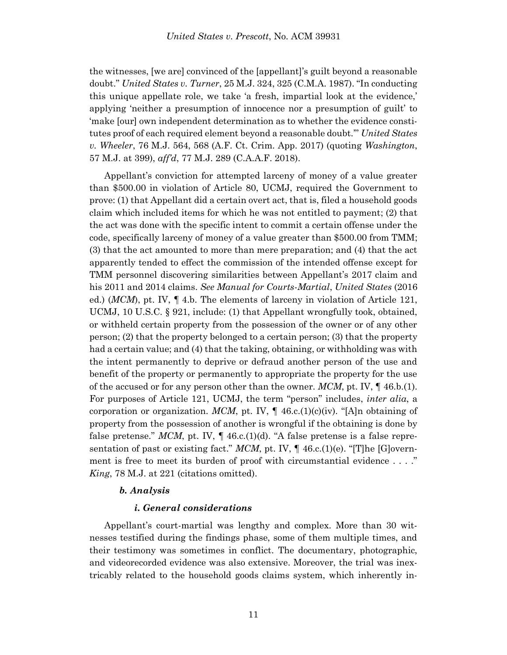the witnesses, [we are] convinced of the [appellant]'s guilt beyond a reasonable doubt." *United States v. Turner*, 25 M.J. 324, 325 (C.M.A. 1987). "In conducting this unique appellate role, we take 'a fresh, impartial look at the evidence,' applying 'neither a presumption of innocence nor a presumption of guilt' to 'make [our] own independent determination as to whether the evidence constitutes proof of each required element beyond a reasonable doubt.'" *United States v. Wheeler*, 76 M.J. 564, 568 (A.F. Ct. Crim. App. 2017) (quoting *Washington*, 57 M.J. at 399), *aff'd*, 77 M.J. 289 (C.A.A.F. 2018).

Appellant's conviction for attempted larceny of money of a value greater than \$500.00 in violation of Article 80, UCMJ, required the Government to prove: (1) that Appellant did a certain overt act, that is, filed a household goods claim which included items for which he was not entitled to payment; (2) that the act was done with the specific intent to commit a certain offense under the code, specifically larceny of money of a value greater than \$500.00 from TMM; (3) that the act amounted to more than mere preparation; and (4) that the act apparently tended to effect the commission of the intended offense except for TMM personnel discovering similarities between Appellant's 2017 claim and his 2011 and 2014 claims. *See Manual for Courts-Martial*, *United States* (2016 ed.) (*MCM*), pt. IV, ¶ 4.b. The elements of larceny in violation of Article 121, UCMJ, 10 U.S.C. § 921, include: (1) that Appellant wrongfully took, obtained, or withheld certain property from the possession of the owner or of any other person; (2) that the property belonged to a certain person; (3) that the property had a certain value; and (4) that the taking, obtaining, or withholding was with the intent permanently to deprive or defraud another person of the use and benefit of the property or permanently to appropriate the property for the use of the accused or for any person other than the owner. *MCM*, pt. IV, ¶ 46.b.(1). For purposes of Article 121, UCMJ, the term "person" includes, *inter alia*, a corporation or organization. *MCM*, pt. IV,  $\P$  46.c.(1)(c)(iv). "[A]n obtaining of property from the possession of another is wrongful if the obtaining is done by false pretense."  $MCM$ , pt. IV,  $\P$  46.c.(1)(d). "A false pretense is a false representation of past or existing fact." *MCM*, pt. IV,  $\P$  46.c.(1)(e). "[T]he [G]overnment is free to meet its burden of proof with circumstantial evidence . . . ." *King*, 78 M.J. at 221 (citations omitted).

### *b. Analysis*

### *i. General considerations*

Appellant's court-martial was lengthy and complex. More than 30 witnesses testified during the findings phase, some of them multiple times, and their testimony was sometimes in conflict. The documentary, photographic, and videorecorded evidence was also extensive. Moreover, the trial was inextricably related to the household goods claims system, which inherently in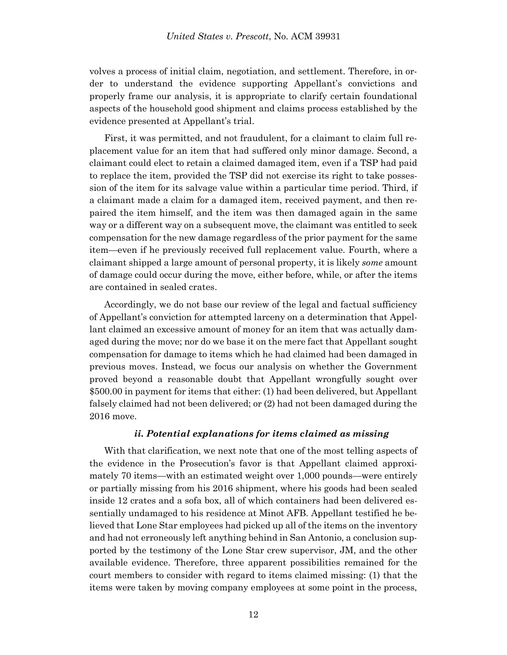volves a process of initial claim, negotiation, and settlement. Therefore, in order to understand the evidence supporting Appellant's convictions and properly frame our analysis, it is appropriate to clarify certain foundational aspects of the household good shipment and claims process established by the evidence presented at Appellant's trial.

First, it was permitted, and not fraudulent, for a claimant to claim full replacement value for an item that had suffered only minor damage. Second, a claimant could elect to retain a claimed damaged item, even if a TSP had paid to replace the item, provided the TSP did not exercise its right to take possession of the item for its salvage value within a particular time period. Third, if a claimant made a claim for a damaged item, received payment, and then repaired the item himself, and the item was then damaged again in the same way or a different way on a subsequent move, the claimant was entitled to seek compensation for the new damage regardless of the prior payment for the same item—even if he previously received full replacement value. Fourth, where a claimant shipped a large amount of personal property, it is likely *some* amount of damage could occur during the move, either before, while, or after the items are contained in sealed crates.

Accordingly, we do not base our review of the legal and factual sufficiency of Appellant's conviction for attempted larceny on a determination that Appellant claimed an excessive amount of money for an item that was actually damaged during the move; nor do we base it on the mere fact that Appellant sought compensation for damage to items which he had claimed had been damaged in previous moves. Instead, we focus our analysis on whether the Government proved beyond a reasonable doubt that Appellant wrongfully sought over \$500.00 in payment for items that either: (1) had been delivered, but Appellant falsely claimed had not been delivered; or (2) had not been damaged during the 2016 move.

# *ii. Potential explanations for items claimed as missing*

With that clarification, we next note that one of the most telling aspects of the evidence in the Prosecution's favor is that Appellant claimed approximately 70 items—with an estimated weight over 1,000 pounds—were entirely or partially missing from his 2016 shipment, where his goods had been sealed inside 12 crates and a sofa box, all of which containers had been delivered essentially undamaged to his residence at Minot AFB. Appellant testified he believed that Lone Star employees had picked up all of the items on the inventory and had not erroneously left anything behind in San Antonio, a conclusion supported by the testimony of the Lone Star crew supervisor, JM, and the other available evidence. Therefore, three apparent possibilities remained for the court members to consider with regard to items claimed missing: (1) that the items were taken by moving company employees at some point in the process,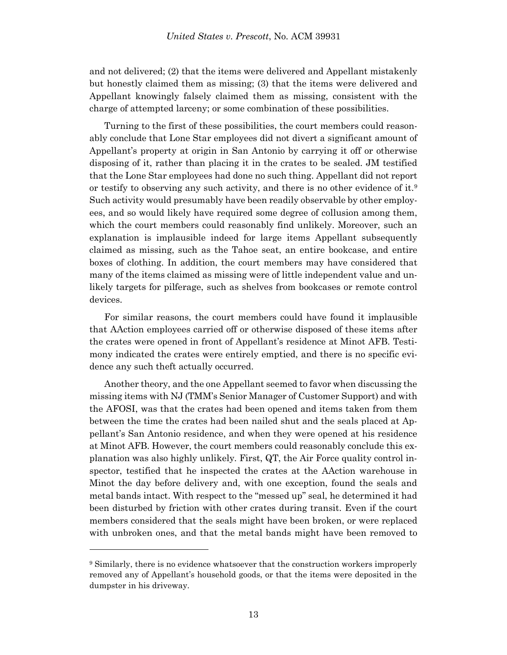and not delivered; (2) that the items were delivered and Appellant mistakenly but honestly claimed them as missing; (3) that the items were delivered and Appellant knowingly falsely claimed them as missing, consistent with the charge of attempted larceny; or some combination of these possibilities.

Turning to the first of these possibilities, the court members could reasonably conclude that Lone Star employees did not divert a significant amount of Appellant's property at origin in San Antonio by carrying it off or otherwise disposing of it, rather than placing it in the crates to be sealed. JM testified that the Lone Star employees had done no such thing. Appellant did not report or testify to observing any such activity, and there is no other evidence of it.<sup>9</sup> Such activity would presumably have been readily observable by other employees, and so would likely have required some degree of collusion among them, which the court members could reasonably find unlikely. Moreover, such an explanation is implausible indeed for large items Appellant subsequently claimed as missing, such as the Tahoe seat, an entire bookcase, and entire boxes of clothing. In addition, the court members may have considered that many of the items claimed as missing were of little independent value and unlikely targets for pilferage, such as shelves from bookcases or remote control devices.

For similar reasons, the court members could have found it implausible that AAction employees carried off or otherwise disposed of these items after the crates were opened in front of Appellant's residence at Minot AFB. Testimony indicated the crates were entirely emptied, and there is no specific evidence any such theft actually occurred.

Another theory, and the one Appellant seemed to favor when discussing the missing items with NJ (TMM's Senior Manager of Customer Support) and with the AFOSI, was that the crates had been opened and items taken from them between the time the crates had been nailed shut and the seals placed at Appellant's San Antonio residence, and when they were opened at his residence at Minot AFB. However, the court members could reasonably conclude this explanation was also highly unlikely. First, QT, the Air Force quality control inspector, testified that he inspected the crates at the AAction warehouse in Minot the day before delivery and, with one exception, found the seals and metal bands intact. With respect to the "messed up" seal, he determined it had been disturbed by friction with other crates during transit. Even if the court members considered that the seals might have been broken, or were replaced with unbroken ones, and that the metal bands might have been removed to

<sup>9</sup> Similarly, there is no evidence whatsoever that the construction workers improperly removed any of Appellant's household goods, or that the items were deposited in the dumpster in his driveway.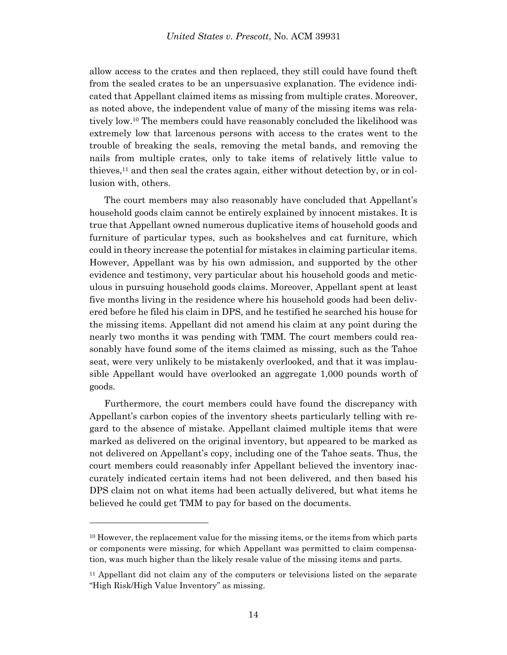allow access to the crates and then replaced, they still could have found theft from the sealed crates to be an unpersuasive explanation. The evidence indicated that Appellant claimed items as missing from multiple crates. Moreover, as noted above, the independent value of many of the missing items was relatively low.<sup>10</sup> The members could have reasonably concluded the likelihood was extremely low that larcenous persons with access to the crates went to the trouble of breaking the seals, removing the metal bands, and removing the nails from multiple crates, only to take items of relatively little value to thieves, <sup>11</sup> and then seal the crates again, either without detection by, or in collusion with, others.

The court members may also reasonably have concluded that Appellant's household goods claim cannot be entirely explained by innocent mistakes. It is true that Appellant owned numerous duplicative items of household goods and furniture of particular types, such as bookshelves and cat furniture, which could in theory increase the potential for mistakes in claiming particular items. However, Appellant was by his own admission, and supported by the other evidence and testimony, very particular about his household goods and meticulous in pursuing household goods claims. Moreover, Appellant spent at least five months living in the residence where his household goods had been delivered before he filed his claim in DPS, and he testified he searched his house for the missing items. Appellant did not amend his claim at any point during the nearly two months it was pending with TMM. The court members could reasonably have found some of the items claimed as missing, such as the Tahoe seat, were very unlikely to be mistakenly overlooked, and that it was implausible Appellant would have overlooked an aggregate 1,000 pounds worth of goods.

Furthermore, the court members could have found the discrepancy with Appellant's carbon copies of the inventory sheets particularly telling with regard to the absence of mistake. Appellant claimed multiple items that were marked as delivered on the original inventory, but appeared to be marked as not delivered on Appellant's copy, including one of the Tahoe seats. Thus, the court members could reasonably infer Appellant believed the inventory inaccurately indicated certain items had not been delivered, and then based his DPS claim not on what items had been actually delivered, but what items he believed he could get TMM to pay for based on the documents.

<sup>&</sup>lt;sup>10</sup> However, the replacement value for the missing items, or the items from which parts or components were missing, for which Appellant was permitted to claim compensation, was much higher than the likely resale value of the missing items and parts.

<sup>&</sup>lt;sup>11</sup> Appellant did not claim any of the computers or televisions listed on the separate "High Risk/High Value Inventory" as missing.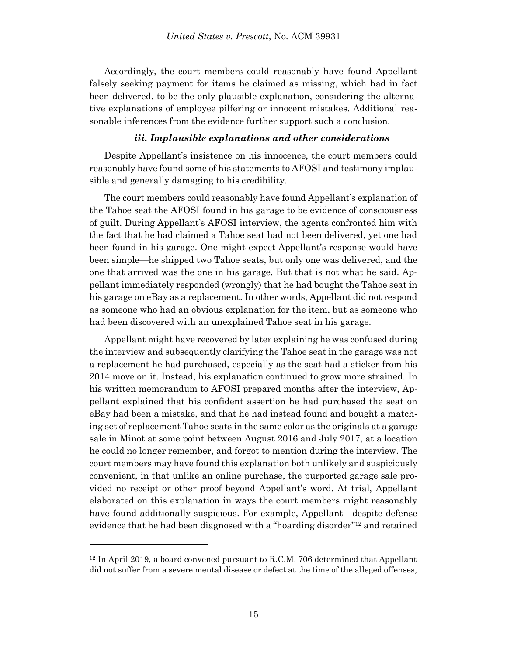Accordingly, the court members could reasonably have found Appellant falsely seeking payment for items he claimed as missing, which had in fact been delivered, to be the only plausible explanation, considering the alternative explanations of employee pilfering or innocent mistakes. Additional reasonable inferences from the evidence further support such a conclusion.

### *iii. Implausible explanations and other considerations*

Despite Appellant's insistence on his innocence, the court members could reasonably have found some of his statements to AFOSI and testimony implausible and generally damaging to his credibility.

The court members could reasonably have found Appellant's explanation of the Tahoe seat the AFOSI found in his garage to be evidence of consciousness of guilt. During Appellant's AFOSI interview, the agents confronted him with the fact that he had claimed a Tahoe seat had not been delivered, yet one had been found in his garage. One might expect Appellant's response would have been simple—he shipped two Tahoe seats, but only one was delivered, and the one that arrived was the one in his garage. But that is not what he said. Appellant immediately responded (wrongly) that he had bought the Tahoe seat in his garage on eBay as a replacement. In other words, Appellant did not respond as someone who had an obvious explanation for the item, but as someone who had been discovered with an unexplained Tahoe seat in his garage.

Appellant might have recovered by later explaining he was confused during the interview and subsequently clarifying the Tahoe seat in the garage was not a replacement he had purchased, especially as the seat had a sticker from his 2014 move on it. Instead, his explanation continued to grow more strained. In his written memorandum to AFOSI prepared months after the interview, Appellant explained that his confident assertion he had purchased the seat on eBay had been a mistake, and that he had instead found and bought a matching set of replacement Tahoe seats in the same color as the originals at a garage sale in Minot at some point between August 2016 and July 2017, at a location he could no longer remember, and forgot to mention during the interview. The court members may have found this explanation both unlikely and suspiciously convenient, in that unlike an online purchase, the purported garage sale provided no receipt or other proof beyond Appellant's word. At trial, Appellant elaborated on this explanation in ways the court members might reasonably have found additionally suspicious. For example, Appellant—despite defense evidence that he had been diagnosed with a "hoarding disorder"<sup>12</sup> and retained

<sup>12</sup> In April 2019, a board convened pursuant to R.C.M. 706 determined that Appellant did not suffer from a severe mental disease or defect at the time of the alleged offenses,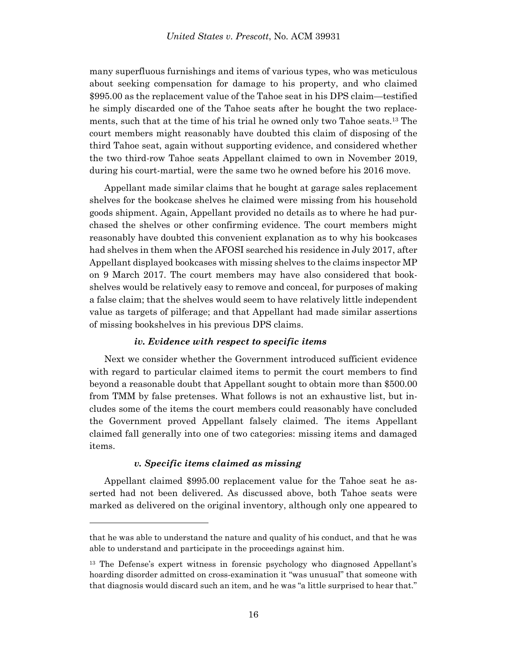many superfluous furnishings and items of various types, who was meticulous about seeking compensation for damage to his property, and who claimed \$995.00 as the replacement value of the Tahoe seat in his DPS claim—testified he simply discarded one of the Tahoe seats after he bought the two replacements, such that at the time of his trial he owned only two Tahoe seats.<sup>13</sup> The court members might reasonably have doubted this claim of disposing of the third Tahoe seat, again without supporting evidence, and considered whether the two third-row Tahoe seats Appellant claimed to own in November 2019, during his court-martial, were the same two he owned before his 2016 move.

Appellant made similar claims that he bought at garage sales replacement shelves for the bookcase shelves he claimed were missing from his household goods shipment. Again, Appellant provided no details as to where he had purchased the shelves or other confirming evidence. The court members might reasonably have doubted this convenient explanation as to why his bookcases had shelves in them when the AFOSI searched his residence in July 2017, after Appellant displayed bookcases with missing shelves to the claims inspector MP on 9 March 2017. The court members may have also considered that bookshelves would be relatively easy to remove and conceal, for purposes of making a false claim; that the shelves would seem to have relatively little independent value as targets of pilferage; and that Appellant had made similar assertions of missing bookshelves in his previous DPS claims.

# *iv. Evidence with respect to specific items*

Next we consider whether the Government introduced sufficient evidence with regard to particular claimed items to permit the court members to find beyond a reasonable doubt that Appellant sought to obtain more than \$500.00 from TMM by false pretenses. What follows is not an exhaustive list, but includes some of the items the court members could reasonably have concluded the Government proved Appellant falsely claimed. The items Appellant claimed fall generally into one of two categories: missing items and damaged items.

# *v. Specific items claimed as missing*

l

Appellant claimed \$995.00 replacement value for the Tahoe seat he asserted had not been delivered. As discussed above, both Tahoe seats were marked as delivered on the original inventory, although only one appeared to

that he was able to understand the nature and quality of his conduct, and that he was able to understand and participate in the proceedings against him.

<sup>13</sup> The Defense's expert witness in forensic psychology who diagnosed Appellant's hoarding disorder admitted on cross-examination it "was unusual" that someone with that diagnosis would discard such an item, and he was "a little surprised to hear that."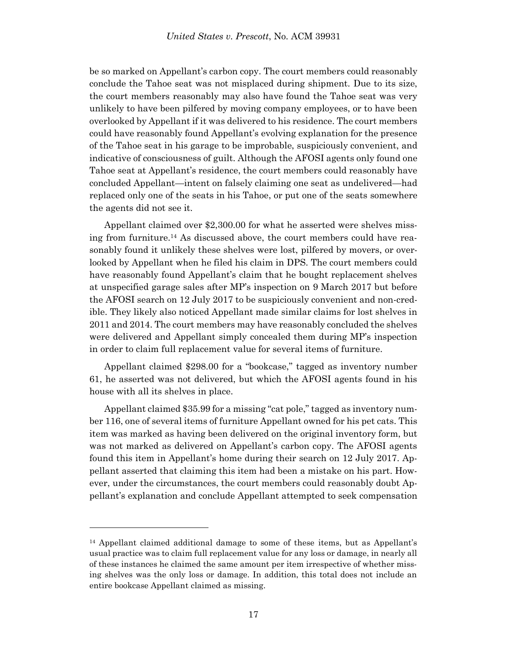be so marked on Appellant's carbon copy. The court members could reasonably conclude the Tahoe seat was not misplaced during shipment. Due to its size, the court members reasonably may also have found the Tahoe seat was very unlikely to have been pilfered by moving company employees, or to have been overlooked by Appellant if it was delivered to his residence. The court members could have reasonably found Appellant's evolving explanation for the presence of the Tahoe seat in his garage to be improbable, suspiciously convenient, and indicative of consciousness of guilt. Although the AFOSI agents only found one Tahoe seat at Appellant's residence, the court members could reasonably have concluded Appellant—intent on falsely claiming one seat as undelivered—had replaced only one of the seats in his Tahoe, or put one of the seats somewhere the agents did not see it.

Appellant claimed over \$2,300.00 for what he asserted were shelves missing from furniture. <sup>14</sup> As discussed above, the court members could have reasonably found it unlikely these shelves were lost, pilfered by movers, or overlooked by Appellant when he filed his claim in DPS. The court members could have reasonably found Appellant's claim that he bought replacement shelves at unspecified garage sales after MP's inspection on 9 March 2017 but before the AFOSI search on 12 July 2017 to be suspiciously convenient and non-credible. They likely also noticed Appellant made similar claims for lost shelves in 2011 and 2014. The court members may have reasonably concluded the shelves were delivered and Appellant simply concealed them during MP's inspection in order to claim full replacement value for several items of furniture.

Appellant claimed \$298.00 for a "bookcase," tagged as inventory number 61, he asserted was not delivered, but which the AFOSI agents found in his house with all its shelves in place.

Appellant claimed \$35.99 for a missing "cat pole," tagged as inventory number 116, one of several items of furniture Appellant owned for his pet cats. This item was marked as having been delivered on the original inventory form, but was not marked as delivered on Appellant's carbon copy. The AFOSI agents found this item in Appellant's home during their search on 12 July 2017. Appellant asserted that claiming this item had been a mistake on his part. However, under the circumstances, the court members could reasonably doubt Appellant's explanation and conclude Appellant attempted to seek compensation

<sup>14</sup> Appellant claimed additional damage to some of these items, but as Appellant's usual practice was to claim full replacement value for any loss or damage, in nearly all of these instances he claimed the same amount per item irrespective of whether missing shelves was the only loss or damage. In addition, this total does not include an entire bookcase Appellant claimed as missing.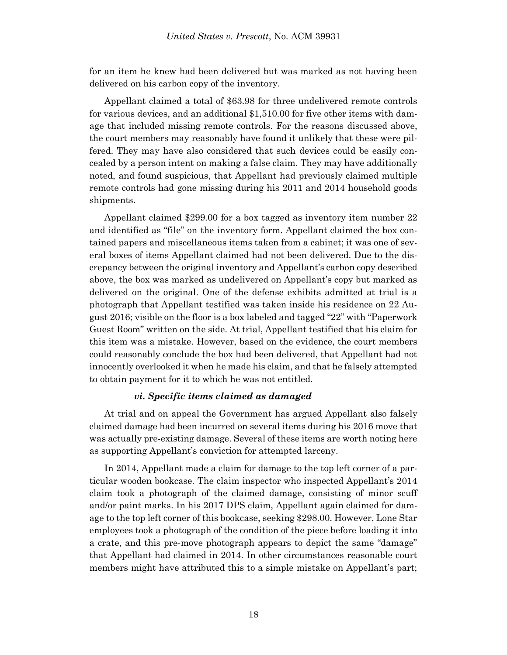for an item he knew had been delivered but was marked as not having been delivered on his carbon copy of the inventory.

Appellant claimed a total of \$63.98 for three undelivered remote controls for various devices, and an additional \$1,510.00 for five other items with damage that included missing remote controls. For the reasons discussed above, the court members may reasonably have found it unlikely that these were pilfered. They may have also considered that such devices could be easily concealed by a person intent on making a false claim. They may have additionally noted, and found suspicious, that Appellant had previously claimed multiple remote controls had gone missing during his 2011 and 2014 household goods shipments.

Appellant claimed \$299.00 for a box tagged as inventory item number 22 and identified as "file" on the inventory form. Appellant claimed the box contained papers and miscellaneous items taken from a cabinet; it was one of several boxes of items Appellant claimed had not been delivered. Due to the discrepancy between the original inventory and Appellant's carbon copy described above, the box was marked as undelivered on Appellant's copy but marked as delivered on the original. One of the defense exhibits admitted at trial is a photograph that Appellant testified was taken inside his residence on 22 August 2016; visible on the floor is a box labeled and tagged "22" with "Paperwork Guest Room" written on the side. At trial, Appellant testified that his claim for this item was a mistake. However, based on the evidence, the court members could reasonably conclude the box had been delivered, that Appellant had not innocently overlooked it when he made his claim, and that he falsely attempted to obtain payment for it to which he was not entitled.

### *vi. Specific items claimed as damaged*

At trial and on appeal the Government has argued Appellant also falsely claimed damage had been incurred on several items during his 2016 move that was actually pre-existing damage. Several of these items are worth noting here as supporting Appellant's conviction for attempted larceny.

In 2014, Appellant made a claim for damage to the top left corner of a particular wooden bookcase. The claim inspector who inspected Appellant's 2014 claim took a photograph of the claimed damage, consisting of minor scuff and/or paint marks. In his 2017 DPS claim, Appellant again claimed for damage to the top left corner of this bookcase, seeking \$298.00. However, Lone Star employees took a photograph of the condition of the piece before loading it into a crate, and this pre-move photograph appears to depict the same "damage" that Appellant had claimed in 2014. In other circumstances reasonable court members might have attributed this to a simple mistake on Appellant's part;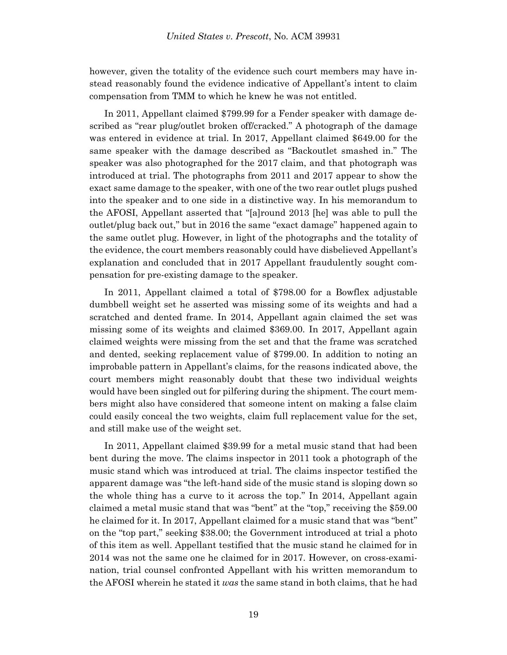however, given the totality of the evidence such court members may have instead reasonably found the evidence indicative of Appellant's intent to claim compensation from TMM to which he knew he was not entitled.

In 2011, Appellant claimed \$799.99 for a Fender speaker with damage described as "rear plug/outlet broken off/cracked." A photograph of the damage was entered in evidence at trial. In 2017, Appellant claimed \$649.00 for the same speaker with the damage described as "Backoutlet smashed in." The speaker was also photographed for the 2017 claim, and that photograph was introduced at trial. The photographs from 2011 and 2017 appear to show the exact same damage to the speaker, with one of the two rear outlet plugs pushed into the speaker and to one side in a distinctive way. In his memorandum to the AFOSI, Appellant asserted that "[a]round 2013 [he] was able to pull the outlet/plug back out," but in 2016 the same "exact damage" happened again to the same outlet plug. However, in light of the photographs and the totality of the evidence, the court members reasonably could have disbelieved Appellant's explanation and concluded that in 2017 Appellant fraudulently sought compensation for pre-existing damage to the speaker.

In 2011, Appellant claimed a total of \$798.00 for a Bowflex adjustable dumbbell weight set he asserted was missing some of its weights and had a scratched and dented frame. In 2014, Appellant again claimed the set was missing some of its weights and claimed \$369.00. In 2017, Appellant again claimed weights were missing from the set and that the frame was scratched and dented, seeking replacement value of \$799.00. In addition to noting an improbable pattern in Appellant's claims, for the reasons indicated above, the court members might reasonably doubt that these two individual weights would have been singled out for pilfering during the shipment. The court members might also have considered that someone intent on making a false claim could easily conceal the two weights, claim full replacement value for the set, and still make use of the weight set.

In 2011, Appellant claimed \$39.99 for a metal music stand that had been bent during the move. The claims inspector in 2011 took a photograph of the music stand which was introduced at trial. The claims inspector testified the apparent damage was "the left-hand side of the music stand is sloping down so the whole thing has a curve to it across the top." In 2014, Appellant again claimed a metal music stand that was "bent" at the "top," receiving the \$59.00 he claimed for it. In 2017, Appellant claimed for a music stand that was "bent" on the "top part," seeking \$38.00; the Government introduced at trial a photo of this item as well. Appellant testified that the music stand he claimed for in 2014 was not the same one he claimed for in 2017. However, on cross-examination, trial counsel confronted Appellant with his written memorandum to the AFOSI wherein he stated it *was* the same stand in both claims, that he had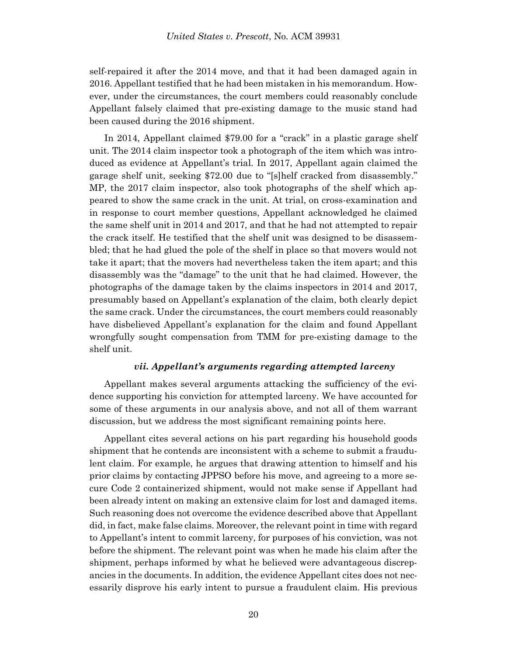self-repaired it after the 2014 move, and that it had been damaged again in 2016. Appellant testified that he had been mistaken in his memorandum. However, under the circumstances, the court members could reasonably conclude Appellant falsely claimed that pre-existing damage to the music stand had been caused during the 2016 shipment.

In 2014, Appellant claimed \$79.00 for a "crack" in a plastic garage shelf unit. The 2014 claim inspector took a photograph of the item which was introduced as evidence at Appellant's trial. In 2017, Appellant again claimed the garage shelf unit, seeking \$72.00 due to "[s]helf cracked from disassembly." MP, the 2017 claim inspector, also took photographs of the shelf which appeared to show the same crack in the unit. At trial, on cross-examination and in response to court member questions, Appellant acknowledged he claimed the same shelf unit in 2014 and 2017, and that he had not attempted to repair the crack itself. He testified that the shelf unit was designed to be disassembled; that he had glued the pole of the shelf in place so that movers would not take it apart; that the movers had nevertheless taken the item apart; and this disassembly was the "damage" to the unit that he had claimed. However, the photographs of the damage taken by the claims inspectors in 2014 and 2017, presumably based on Appellant's explanation of the claim, both clearly depict the same crack. Under the circumstances, the court members could reasonably have disbelieved Appellant's explanation for the claim and found Appellant wrongfully sought compensation from TMM for pre-existing damage to the shelf unit.

### *vii. Appellant's arguments regarding attempted larceny*

Appellant makes several arguments attacking the sufficiency of the evidence supporting his conviction for attempted larceny. We have accounted for some of these arguments in our analysis above, and not all of them warrant discussion, but we address the most significant remaining points here.

Appellant cites several actions on his part regarding his household goods shipment that he contends are inconsistent with a scheme to submit a fraudulent claim. For example, he argues that drawing attention to himself and his prior claims by contacting JPPSO before his move, and agreeing to a more secure Code 2 containerized shipment, would not make sense if Appellant had been already intent on making an extensive claim for lost and damaged items. Such reasoning does not overcome the evidence described above that Appellant did, in fact, make false claims. Moreover, the relevant point in time with regard to Appellant's intent to commit larceny, for purposes of his conviction, was not before the shipment. The relevant point was when he made his claim after the shipment, perhaps informed by what he believed were advantageous discrepancies in the documents. In addition, the evidence Appellant cites does not necessarily disprove his early intent to pursue a fraudulent claim. His previous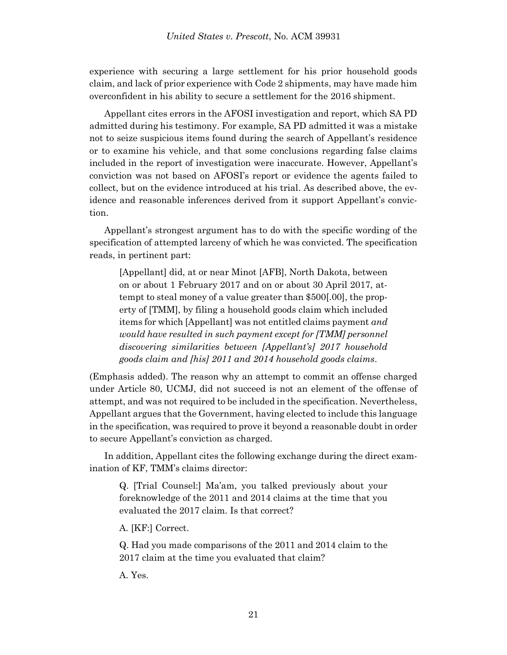experience with securing a large settlement for his prior household goods claim, and lack of prior experience with Code 2 shipments, may have made him overconfident in his ability to secure a settlement for the 2016 shipment.

Appellant cites errors in the AFOSI investigation and report, which SA PD admitted during his testimony. For example, SA PD admitted it was a mistake not to seize suspicious items found during the search of Appellant's residence or to examine his vehicle, and that some conclusions regarding false claims included in the report of investigation were inaccurate. However, Appellant's conviction was not based on AFOSI's report or evidence the agents failed to collect, but on the evidence introduced at his trial. As described above, the evidence and reasonable inferences derived from it support Appellant's conviction.

Appellant's strongest argument has to do with the specific wording of the specification of attempted larceny of which he was convicted. The specification reads, in pertinent part:

[Appellant] did, at or near Minot [AFB], North Dakota, between on or about 1 February 2017 and on or about 30 April 2017, attempt to steal money of a value greater than \$500[.00], the property of [TMM], by filing a household goods claim which included items for which [Appellant] was not entitled claims payment *and would have resulted in such payment except for [TMM] personnel discovering similarities between [Appellant's] 2017 household goods claim and [his] 2011 and 2014 household goods claims*.

(Emphasis added). The reason why an attempt to commit an offense charged under Article 80, UCMJ, did not succeed is not an element of the offense of attempt, and was not required to be included in the specification. Nevertheless, Appellant argues that the Government, having elected to include this language in the specification, was required to prove it beyond a reasonable doubt in order to secure Appellant's conviction as charged.

In addition, Appellant cites the following exchange during the direct examination of KF, TMM's claims director:

Q. [Trial Counsel:] Ma'am, you talked previously about your foreknowledge of the 2011 and 2014 claims at the time that you evaluated the 2017 claim. Is that correct?

A. [KF:] Correct.

Q. Had you made comparisons of the 2011 and 2014 claim to the 2017 claim at the time you evaluated that claim?

A. Yes.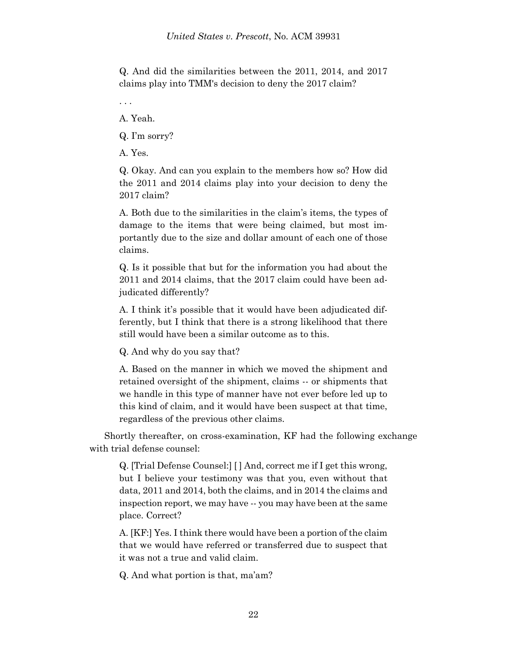Q. And did the similarities between the 2011, 2014, and 2017 claims play into TMM's decision to deny the 2017 claim?

. . .

A. Yeah.

Q. I'm sorry?

A. Yes.

Q. Okay. And can you explain to the members how so? How did the 2011 and 2014 claims play into your decision to deny the 2017 claim?

A. Both due to the similarities in the claim's items, the types of damage to the items that were being claimed, but most importantly due to the size and dollar amount of each one of those claims.

Q. Is it possible that but for the information you had about the 2011 and 2014 claims, that the 2017 claim could have been adjudicated differently?

A. I think it's possible that it would have been adjudicated differently, but I think that there is a strong likelihood that there still would have been a similar outcome as to this.

Q. And why do you say that?

A. Based on the manner in which we moved the shipment and retained oversight of the shipment, claims -- or shipments that we handle in this type of manner have not ever before led up to this kind of claim, and it would have been suspect at that time, regardless of the previous other claims.

Shortly thereafter, on cross-examination, KF had the following exchange with trial defense counsel:

Q. [Trial Defense Counsel:] [ ] And, correct me if I get this wrong, but I believe your testimony was that you, even without that data, 2011 and 2014, both the claims, and in 2014 the claims and inspection report, we may have -- you may have been at the same place. Correct?

A. [KF:] Yes. I think there would have been a portion of the claim that we would have referred or transferred due to suspect that it was not a true and valid claim.

Q. And what portion is that, ma'am?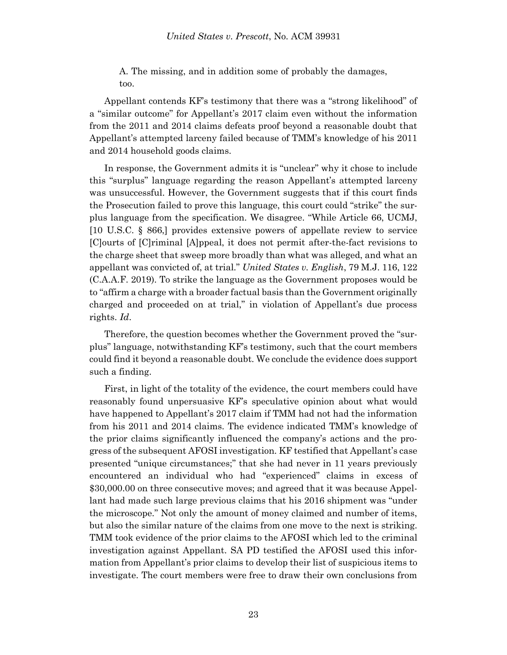A. The missing, and in addition some of probably the damages, too.

Appellant contends KF's testimony that there was a "strong likelihood" of a "similar outcome" for Appellant's 2017 claim even without the information from the 2011 and 2014 claims defeats proof beyond a reasonable doubt that Appellant's attempted larceny failed because of TMM's knowledge of his 2011 and 2014 household goods claims.

In response, the Government admits it is "unclear" why it chose to include this "surplus" language regarding the reason Appellant's attempted larceny was unsuccessful. However, the Government suggests that if this court finds the Prosecution failed to prove this language, this court could "strike" the surplus language from the specification. We disagree. "While Article 66, UCMJ, [10 U.S.C. § 866,] provides extensive powers of appellate review to service [C]ourts of [C]riminal [A]ppeal, it does not permit after-the-fact revisions to the charge sheet that sweep more broadly than what was alleged, and what an appellant was convicted of, at trial." *United States v. English*, 79 M.J. 116, 122 (C.A.A.F. 2019). To strike the language as the Government proposes would be to "affirm a charge with a broader factual basis than the Government originally charged and proceeded on at trial," in violation of Appellant's due process rights. *Id*.

Therefore, the question becomes whether the Government proved the "surplus" language, notwithstanding KF's testimony, such that the court members could find it beyond a reasonable doubt. We conclude the evidence does support such a finding.

First, in light of the totality of the evidence, the court members could have reasonably found unpersuasive KF's speculative opinion about what would have happened to Appellant's 2017 claim if TMM had not had the information from his 2011 and 2014 claims. The evidence indicated TMM's knowledge of the prior claims significantly influenced the company's actions and the progress of the subsequent AFOSI investigation. KF testified that Appellant's case presented "unique circumstances;" that she had never in 11 years previously encountered an individual who had "experienced" claims in excess of \$30,000.00 on three consecutive moves; and agreed that it was because Appellant had made such large previous claims that his 2016 shipment was "under the microscope." Not only the amount of money claimed and number of items, but also the similar nature of the claims from one move to the next is striking. TMM took evidence of the prior claims to the AFOSI which led to the criminal investigation against Appellant. SA PD testified the AFOSI used this information from Appellant's prior claims to develop their list of suspicious items to investigate. The court members were free to draw their own conclusions from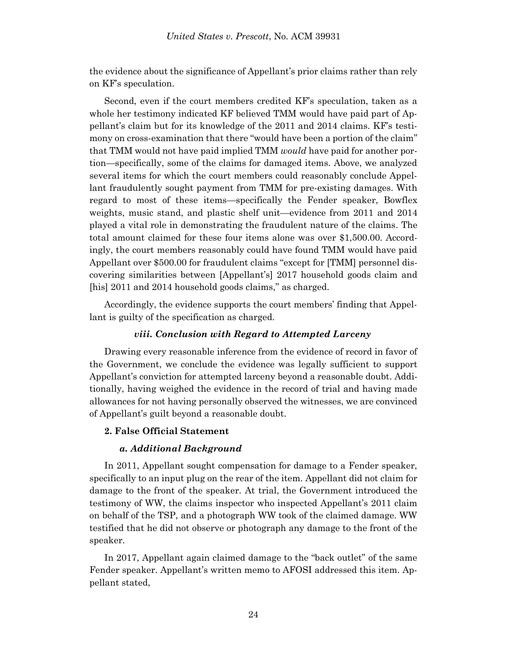the evidence about the significance of Appellant's prior claims rather than rely on KF's speculation.

Second, even if the court members credited KF's speculation, taken as a whole her testimony indicated KF believed TMM would have paid part of Appellant's claim but for its knowledge of the 2011 and 2014 claims. KF's testimony on cross-examination that there "would have been a portion of the claim" that TMM would not have paid implied TMM *would* have paid for another portion—specifically, some of the claims for damaged items. Above, we analyzed several items for which the court members could reasonably conclude Appellant fraudulently sought payment from TMM for pre-existing damages. With regard to most of these items—specifically the Fender speaker, Bowflex weights, music stand, and plastic shelf unit—evidence from 2011 and 2014 played a vital role in demonstrating the fraudulent nature of the claims. The total amount claimed for these four items alone was over \$1,500.00. Accordingly, the court members reasonably could have found TMM would have paid Appellant over \$500.00 for fraudulent claims "except for [TMM] personnel discovering similarities between [Appellant's] 2017 household goods claim and [his] 2011 and 2014 household goods claims," as charged.

Accordingly, the evidence supports the court members' finding that Appellant is guilty of the specification as charged.

# *viii. Conclusion with Regard to Attempted Larceny*

Drawing every reasonable inference from the evidence of record in favor of the Government, we conclude the evidence was legally sufficient to support Appellant's conviction for attempted larceny beyond a reasonable doubt. Additionally, having weighed the evidence in the record of trial and having made allowances for not having personally observed the witnesses, we are convinced of Appellant's guilt beyond a reasonable doubt.

# **2. False Official Statement**

### *a. Additional Background*

In 2011, Appellant sought compensation for damage to a Fender speaker, specifically to an input plug on the rear of the item. Appellant did not claim for damage to the front of the speaker. At trial, the Government introduced the testimony of WW, the claims inspector who inspected Appellant's 2011 claim on behalf of the TSP, and a photograph WW took of the claimed damage. WW testified that he did not observe or photograph any damage to the front of the speaker.

In 2017, Appellant again claimed damage to the "back outlet" of the same Fender speaker. Appellant's written memo to AFOSI addressed this item. Appellant stated,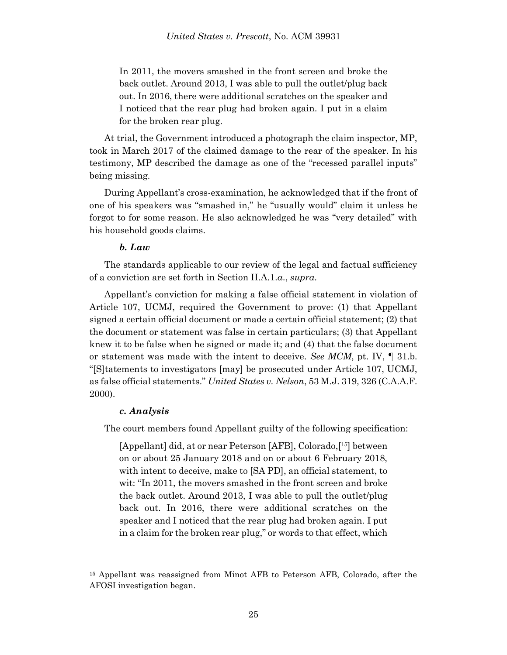In 2011, the movers smashed in the front screen and broke the back outlet. Around 2013, I was able to pull the outlet/plug back out. In 2016, there were additional scratches on the speaker and I noticed that the rear plug had broken again. I put in a claim for the broken rear plug.

At trial, the Government introduced a photograph the claim inspector, MP, took in March 2017 of the claimed damage to the rear of the speaker. In his testimony, MP described the damage as one of the "recessed parallel inputs" being missing.

During Appellant's cross-examination, he acknowledged that if the front of one of his speakers was "smashed in," he "usually would" claim it unless he forgot to for some reason. He also acknowledged he was "very detailed" with his household goods claims.

# *b. Law*

The standards applicable to our review of the legal and factual sufficiency of a conviction are set forth in Section II.A.1.*a*., *supra*.

Appellant's conviction for making a false official statement in violation of Article 107, UCMJ, required the Government to prove: (1) that Appellant signed a certain official document or made a certain official statement; (2) that the document or statement was false in certain particulars; (3) that Appellant knew it to be false when he signed or made it; and (4) that the false document or statement was made with the intent to deceive. *See MCM*, pt. IV, ¶ 31.b. "[S]tatements to investigators [may] be prosecuted under Article 107, UCMJ, as false official statements." *United States v. Nelson*, 53 M.J. 319, 326 (C.A.A.F. 2000).

### *c. Analysis*

l

The court members found Appellant guilty of the following specification:

[Appellant] did, at or near Peterson [AFB], Colorado,[ <sup>15</sup>] between on or about 25 January 2018 and on or about 6 February 2018, with intent to deceive, make to [SA PD], an official statement, to wit: "In 2011, the movers smashed in the front screen and broke the back outlet. Around 2013, I was able to pull the outlet/plug back out. In 2016, there were additional scratches on the speaker and I noticed that the rear plug had broken again. I put in a claim for the broken rear plug," or words to that effect, which

<sup>15</sup> Appellant was reassigned from Minot AFB to Peterson AFB, Colorado, after the AFOSI investigation began.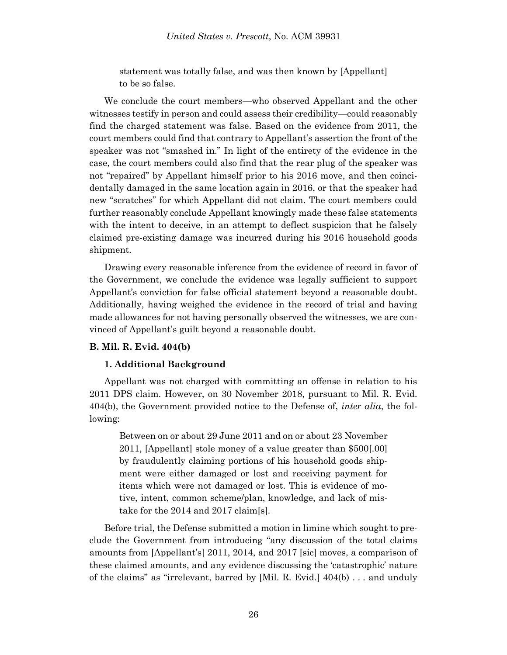statement was totally false, and was then known by [Appellant] to be so false.

We conclude the court members—who observed Appellant and the other witnesses testify in person and could assess their credibility—could reasonably find the charged statement was false. Based on the evidence from 2011, the court members could find that contrary to Appellant's assertion the front of the speaker was not "smashed in." In light of the entirety of the evidence in the case, the court members could also find that the rear plug of the speaker was not "repaired" by Appellant himself prior to his 2016 move, and then coincidentally damaged in the same location again in 2016, or that the speaker had new "scratches" for which Appellant did not claim. The court members could further reasonably conclude Appellant knowingly made these false statements with the intent to deceive, in an attempt to deflect suspicion that he falsely claimed pre-existing damage was incurred during his 2016 household goods shipment.

Drawing every reasonable inference from the evidence of record in favor of the Government, we conclude the evidence was legally sufficient to support Appellant's conviction for false official statement beyond a reasonable doubt. Additionally, having weighed the evidence in the record of trial and having made allowances for not having personally observed the witnesses, we are convinced of Appellant's guilt beyond a reasonable doubt.

### **B. Mil. R. Evid. 404(b)**

### **1. Additional Background**

Appellant was not charged with committing an offense in relation to his 2011 DPS claim. However, on 30 November 2018, pursuant to Mil. R. Evid. 404(b), the Government provided notice to the Defense of, *inter alia*, the following:

Between on or about 29 June 2011 and on or about 23 November 2011, [Appellant] stole money of a value greater than \$500[.00] by fraudulently claiming portions of his household goods shipment were either damaged or lost and receiving payment for items which were not damaged or lost. This is evidence of motive, intent, common scheme/plan, knowledge, and lack of mistake for the 2014 and 2017 claim[s].

Before trial, the Defense submitted a motion in limine which sought to preclude the Government from introducing "any discussion of the total claims amounts from [Appellant's] 2011, 2014, and 2017 [sic] moves, a comparison of these claimed amounts, and any evidence discussing the 'catastrophic' nature of the claims" as "irrelevant, barred by [Mil. R. Evid.] 404(b) . . . and unduly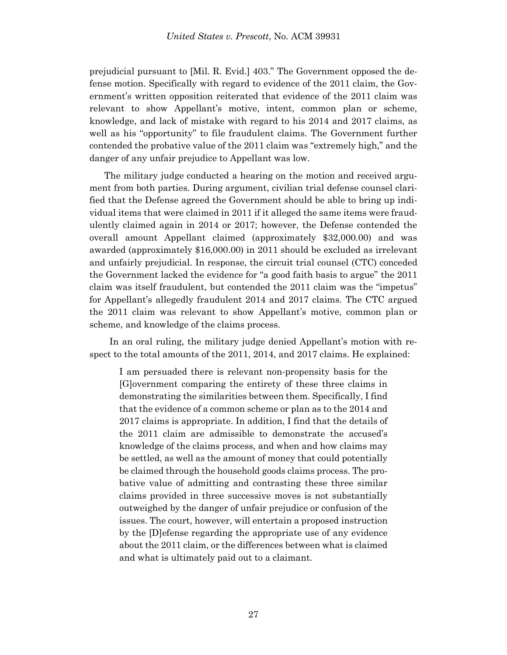prejudicial pursuant to [Mil. R. Evid.] 403." The Government opposed the defense motion. Specifically with regard to evidence of the 2011 claim, the Government's written opposition reiterated that evidence of the 2011 claim was relevant to show Appellant's motive, intent, common plan or scheme, knowledge, and lack of mistake with regard to his 2014 and 2017 claims, as well as his "opportunity" to file fraudulent claims. The Government further contended the probative value of the 2011 claim was "extremely high," and the danger of any unfair prejudice to Appellant was low.

The military judge conducted a hearing on the motion and received argument from both parties. During argument, civilian trial defense counsel clarified that the Defense agreed the Government should be able to bring up individual items that were claimed in 2011 if it alleged the same items were fraudulently claimed again in 2014 or 2017; however, the Defense contended the overall amount Appellant claimed (approximately \$32,000.00) and was awarded (approximately \$16,000.00) in 2011 should be excluded as irrelevant and unfairly prejudicial. In response, the circuit trial counsel (CTC) conceded the Government lacked the evidence for "a good faith basis to argue" the 2011 claim was itself fraudulent, but contended the 2011 claim was the "impetus" for Appellant's allegedly fraudulent 2014 and 2017 claims. The CTC argued the 2011 claim was relevant to show Appellant's motive, common plan or scheme, and knowledge of the claims process.

In an oral ruling, the military judge denied Appellant's motion with respect to the total amounts of the 2011, 2014, and 2017 claims. He explained:

I am persuaded there is relevant non-propensity basis for the [G]overnment comparing the entirety of these three claims in demonstrating the similarities between them. Specifically, I find that the evidence of a common scheme or plan as to the 2014 and 2017 claims is appropriate. In addition, I find that the details of the 2011 claim are admissible to demonstrate the accused's knowledge of the claims process, and when and how claims may be settled, as well as the amount of money that could potentially be claimed through the household goods claims process. The probative value of admitting and contrasting these three similar claims provided in three successive moves is not substantially outweighed by the danger of unfair prejudice or confusion of the issues. The court, however, will entertain a proposed instruction by the [D]efense regarding the appropriate use of any evidence about the 2011 claim, or the differences between what is claimed and what is ultimately paid out to a claimant.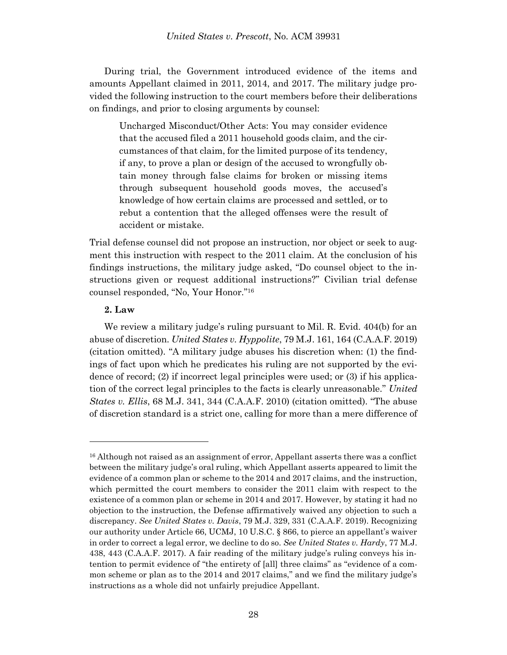During trial, the Government introduced evidence of the items and amounts Appellant claimed in 2011, 2014, and 2017. The military judge provided the following instruction to the court members before their deliberations on findings, and prior to closing arguments by counsel:

Uncharged Misconduct/Other Acts: You may consider evidence that the accused filed a 2011 household goods claim, and the circumstances of that claim, for the limited purpose of its tendency, if any, to prove a plan or design of the accused to wrongfully obtain money through false claims for broken or missing items through subsequent household goods moves, the accused's knowledge of how certain claims are processed and settled, or to rebut a contention that the alleged offenses were the result of accident or mistake.

Trial defense counsel did not propose an instruction, nor object or seek to augment this instruction with respect to the 2011 claim. At the conclusion of his findings instructions, the military judge asked, "Do counsel object to the instructions given or request additional instructions?" Civilian trial defense counsel responded, "No, Your Honor."<sup>16</sup>

### **2. Law**

We review a military judge's ruling pursuant to Mil. R. Evid. 404(b) for an abuse of discretion. *United States v. Hyppolite*, 79 M.J. 161, 164 (C.A.A.F. 2019) (citation omitted). "A military judge abuses his discretion when: (1) the findings of fact upon which he predicates his ruling are not supported by the evidence of record; (2) if incorrect legal principles were used; or (3) if his application of the correct legal principles to the facts is clearly unreasonable." *United States v. Ellis*, 68 M.J. 341, 344 (C.A.A.F. 2010) (citation omitted). "The abuse of discretion standard is a strict one, calling for more than a mere difference of

<sup>16</sup> Although not raised as an assignment of error, Appellant asserts there was a conflict between the military judge's oral ruling, which Appellant asserts appeared to limit the evidence of a common plan or scheme to the 2014 and 2017 claims, and the instruction, which permitted the court members to consider the 2011 claim with respect to the existence of a common plan or scheme in 2014 and 2017. However, by stating it had no objection to the instruction, the Defense affirmatively waived any objection to such a discrepancy. *See United States v. Davis*, 79 M.J. 329, 331 (C.A.A.F. 2019). Recognizing our authority under Article 66, UCMJ, 10 U.S.C. § 866, to pierce an appellant's waiver in order to correct a legal error, we decline to do so. *See United States v. Hardy*, 77 M.J. 438, 443 (C.A.A.F. 2017). A fair reading of the military judge's ruling conveys his intention to permit evidence of "the entirety of [all] three claims" as "evidence of a common scheme or plan as to the 2014 and 2017 claims," and we find the military judge's instructions as a whole did not unfairly prejudice Appellant.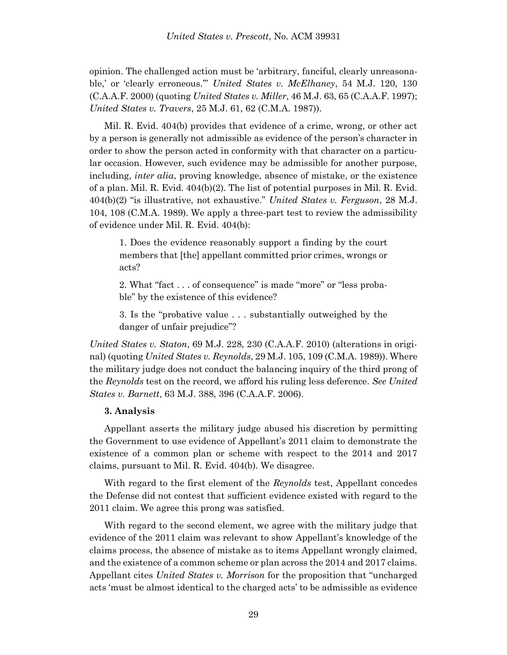opinion. The challenged action must be 'arbitrary, fanciful, clearly unreasonable,' or 'clearly erroneous.'" *United States v. McElhaney*, 54 M.J. 120, 130 (C.A.A.F. 2000) (quoting *United States v. Miller*, 46 M.J. 63, 65 (C.A.A.F. 1997); *United States v. Travers*, 25 M.J. 61, 62 (C.M.A. 1987)).

Mil. R. Evid. 404(b) provides that evidence of a crime, wrong, or other act by a person is generally not admissible as evidence of the person's character in order to show the person acted in conformity with that character on a particular occasion. However, such evidence may be admissible for another purpose, including, *inter alia*, proving knowledge, absence of mistake, or the existence of a plan. Mil. R. Evid. 404(b)(2). The list of potential purposes in Mil. R. Evid. 404(b)(2) "is illustrative, not exhaustive." *United States v. Ferguson*, 28 M.J. 104, 108 (C.M.A. 1989). We apply a three-part test to review the admissibility of evidence under Mil. R. Evid. 404(b):

1. Does the evidence reasonably support a finding by the court members that [the] appellant committed prior crimes, wrongs or acts?

2. What "fact . . . of consequence" is made "more" or "less probable" by the existence of this evidence?

3. Is the "probative value . . . substantially outweighed by the danger of unfair prejudice"?

*United States v. Staton*, 69 M.J. 228, 230 (C.A.A.F. 2010) (alterations in original) (quoting *United States v. Reynolds*, 29 M.J. 105, 109 (C.M.A. 1989)). Where the military judge does not conduct the balancing inquiry of the third prong of the *Reynolds* test on the record, we afford his ruling less deference. *See United States v. Barnett*, 63 M.J. 388, 396 (C.A.A.F. 2006).

# **3. Analysis**

Appellant asserts the military judge abused his discretion by permitting the Government to use evidence of Appellant's 2011 claim to demonstrate the existence of a common plan or scheme with respect to the 2014 and 2017 claims, pursuant to Mil. R. Evid. 404(b). We disagree.

With regard to the first element of the *Reynolds* test, Appellant concedes the Defense did not contest that sufficient evidence existed with regard to the 2011 claim. We agree this prong was satisfied.

With regard to the second element, we agree with the military judge that evidence of the 2011 claim was relevant to show Appellant's knowledge of the claims process, the absence of mistake as to items Appellant wrongly claimed, and the existence of a common scheme or plan across the 2014 and 2017 claims. Appellant cites *United States v. Morrison* for the proposition that "uncharged acts 'must be almost identical to the charged acts' to be admissible as evidence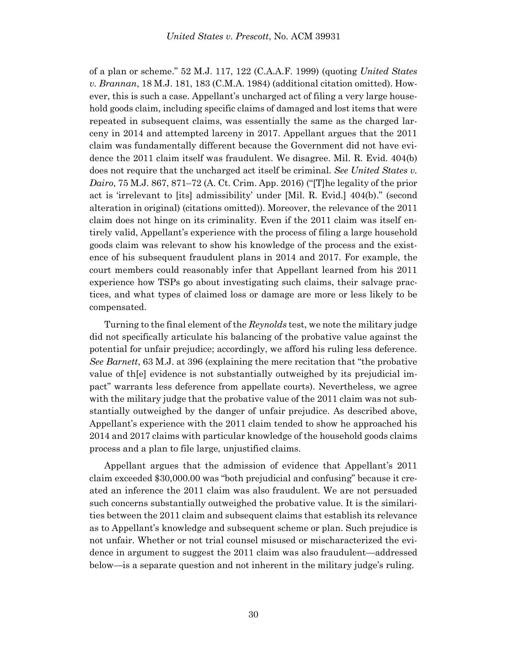of a plan or scheme." 52 M.J. 117, 122 (C.A.A.F. 1999) (quoting *United States v. Brannan*, 18 M.J. 181, 183 (C.M.A. 1984) (additional citation omitted). However, this is such a case. Appellant's uncharged act of filing a very large household goods claim, including specific claims of damaged and lost items that were repeated in subsequent claims, was essentially the same as the charged larceny in 2014 and attempted larceny in 2017. Appellant argues that the 2011 claim was fundamentally different because the Government did not have evidence the 2011 claim itself was fraudulent. We disagree. Mil. R. Evid. 404(b) does not require that the uncharged act itself be criminal. *See United States v. Dairo*, 75 M.J. 867, 871–72 (A. Ct. Crim. App. 2016) ("[T]he legality of the prior act is 'irrelevant to [its] admissibility' under [Mil. R. Evid.] 404(b)." (second alteration in original) (citations omitted)). Moreover, the relevance of the 2011 claim does not hinge on its criminality. Even if the 2011 claim was itself entirely valid, Appellant's experience with the process of filing a large household goods claim was relevant to show his knowledge of the process and the existence of his subsequent fraudulent plans in 2014 and 2017. For example, the court members could reasonably infer that Appellant learned from his 2011 experience how TSPs go about investigating such claims, their salvage practices, and what types of claimed loss or damage are more or less likely to be compensated.

Turning to the final element of the *Reynolds* test, we note the military judge did not specifically articulate his balancing of the probative value against the potential for unfair prejudice; accordingly, we afford his ruling less deference. *See Barnett*, 63 M.J. at 396 (explaining the mere recitation that "the probative value of th[e] evidence is not substantially outweighed by its prejudicial impact" warrants less deference from appellate courts). Nevertheless, we agree with the military judge that the probative value of the 2011 claim was not substantially outweighed by the danger of unfair prejudice. As described above, Appellant's experience with the 2011 claim tended to show he approached his 2014 and 2017 claims with particular knowledge of the household goods claims process and a plan to file large, unjustified claims.

Appellant argues that the admission of evidence that Appellant's 2011 claim exceeded \$30,000.00 was "both prejudicial and confusing" because it created an inference the 2011 claim was also fraudulent. We are not persuaded such concerns substantially outweighed the probative value. It is the similarities between the 2011 claim and subsequent claims that establish its relevance as to Appellant's knowledge and subsequent scheme or plan. Such prejudice is not unfair. Whether or not trial counsel misused or mischaracterized the evidence in argument to suggest the 2011 claim was also fraudulent—addressed below—is a separate question and not inherent in the military judge's ruling.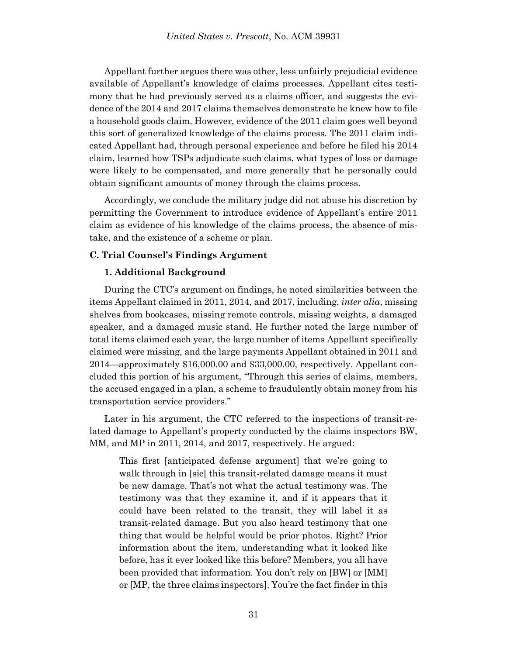Appellant further argues there was other, less unfairly prejudicial evidence available of Appellant's knowledge of claims processes. Appellant cites testimony that he had previously served as a claims officer, and suggests the evidence of the 2014 and 2017 claims themselves demonstrate he knew how to file a household goods claim. However, evidence of the 2011 claim goes well beyond this sort of generalized knowledge of the claims process. The 2011 claim indicated Appellant had, through personal experience and before he filed his 2014 claim, learned how TSPs adjudicate such claims, what types of loss or damage were likely to be compensated, and more generally that he personally could obtain significant amounts of money through the claims process.

Accordingly, we conclude the military judge did not abuse his discretion by permitting the Government to introduce evidence of Appellant's entire 2011 claim as evidence of his knowledge of the claims process, the absence of mistake, and the existence of a scheme or plan.

# **C. Trial Counsel's Findings Argument**

# **1. Additional Background**

During the CTC's argument on findings, he noted similarities between the items Appellant claimed in 2011, 2014, and 2017, including, *inter alia*, missing shelves from bookcases, missing remote controls, missing weights, a damaged speaker, and a damaged music stand. He further noted the large number of total items claimed each year, the large number of items Appellant specifically claimed were missing, and the large payments Appellant obtained in 2011 and 2014—approximately \$16,000.00 and \$33,000.00, respectively. Appellant concluded this portion of his argument, "Through this series of claims, members, the accused engaged in a plan, a scheme to fraudulently obtain money from his transportation service providers."

Later in his argument, the CTC referred to the inspections of transit-related damage to Appellant's property conducted by the claims inspectors BW, MM, and MP in 2011, 2014, and 2017, respectively. He argued:

This first [anticipated defense argument] that we're going to walk through in [sic] this transit-related damage means it must be new damage. That's not what the actual testimony was. The testimony was that they examine it, and if it appears that it could have been related to the transit, they will label it as transit-related damage. But you also heard testimony that one thing that would be helpful would be prior photos. Right? Prior information about the item, understanding what it looked like before, has it ever looked like this before? Members, you all have been provided that information. You don't rely on [BW] or [MM] or [MP, the three claims inspectors]. You're the fact finder in this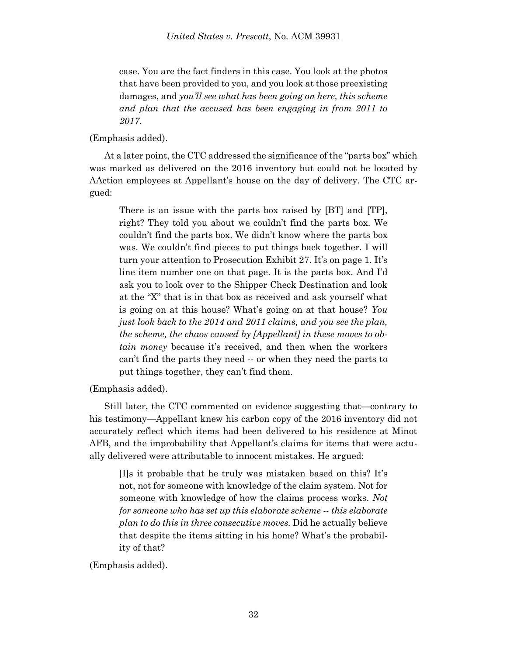case. You are the fact finders in this case. You look at the photos that have been provided to you, and you look at those preexisting damages, and *you'll see what has been going on here, this scheme and plan that the accused has been engaging in from 2011 to 2017*.

(Emphasis added).

At a later point, the CTC addressed the significance of the "parts box" which was marked as delivered on the 2016 inventory but could not be located by AAction employees at Appellant's house on the day of delivery. The CTC argued:

There is an issue with the parts box raised by [BT] and [TP], right? They told you about we couldn't find the parts box. We couldn't find the parts box. We didn't know where the parts box was. We couldn't find pieces to put things back together. I will turn your attention to Prosecution Exhibit 27. It's on page 1. It's line item number one on that page. It is the parts box. And I'd ask you to look over to the Shipper Check Destination and look at the "X" that is in that box as received and ask yourself what is going on at this house? What's going on at that house? *You just look back to the 2014 and 2011 claims, and you see the plan, the scheme, the chaos caused by [Appellant] in these moves to obtain money* because it's received, and then when the workers can't find the parts they need -- or when they need the parts to put things together, they can't find them.

(Emphasis added).

Still later, the CTC commented on evidence suggesting that—contrary to his testimony—Appellant knew his carbon copy of the 2016 inventory did not accurately reflect which items had been delivered to his residence at Minot AFB, and the improbability that Appellant's claims for items that were actually delivered were attributable to innocent mistakes. He argued:

[I]s it probable that he truly was mistaken based on this? It's not, not for someone with knowledge of the claim system. Not for someone with knowledge of how the claims process works. *Not for someone who has set up this elaborate scheme -- this elaborate plan to do this in three consecutive moves.* Did he actually believe that despite the items sitting in his home? What's the probability of that?

(Emphasis added).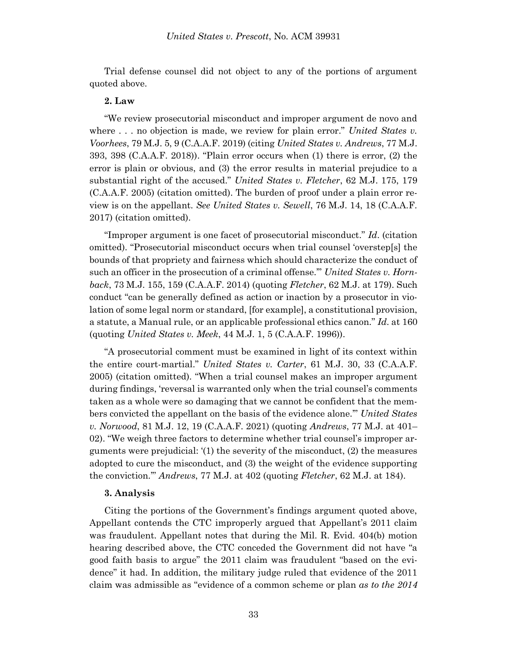Trial defense counsel did not object to any of the portions of argument quoted above.

# **2. Law**

"We review prosecutorial misconduct and improper argument de novo and where . . . no objection is made, we review for plain error." *United States v. Voorhees*, 79 M.J. 5, 9 (C.A.A.F. 2019) (citing *United States v. Andrews*, 77 M.J. 393, 398 (C.A.A.F. 2018)). "Plain error occurs when (1) there is error, (2) the error is plain or obvious, and (3) the error results in material prejudice to a substantial right of the accused." *United States v. Fletcher*, 62 M.J. 175, 179 (C.A.A.F. 2005) (citation omitted). The burden of proof under a plain error review is on the appellant. *See United States v. Sewell*, 76 M.J. 14, 18 (C.A.A.F. 2017) (citation omitted).

"Improper argument is one facet of prosecutorial misconduct." *Id*. (citation omitted). "Prosecutorial misconduct occurs when trial counsel 'overstep[s] the bounds of that propriety and fairness which should characterize the conduct of such an officer in the prosecution of a criminal offense.'" *United States v. Hornback*, 73 M.J. 155, 159 (C.A.A.F. 2014) (quoting *Fletcher*, 62 M.J. at 179). Such conduct "can be generally defined as action or inaction by a prosecutor in violation of some legal norm or standard, [for example], a constitutional provision, a statute, a Manual rule, or an applicable professional ethics canon." *Id*. at 160 (quoting *United States v. Meek*, 44 M.J. 1, 5 (C.A.A.F. 1996)).

"A prosecutorial comment must be examined in light of its context within the entire court-martial." *United States v. Carter*, 61 M.J. 30, 33 (C.A.A.F. 2005) (citation omitted). "When a trial counsel makes an improper argument during findings, 'reversal is warranted only when the trial counsel's comments taken as a whole were so damaging that we cannot be confident that the members convicted the appellant on the basis of the evidence alone.'" *United States v. Norwood*, 81 M.J. 12, 19 (C.A.A.F. 2021) (quoting *Andrews*, 77 M.J. at 401– 02). "We weigh three factors to determine whether trial counsel's improper arguments were prejudicial: '(1) the severity of the misconduct, (2) the measures adopted to cure the misconduct, and (3) the weight of the evidence supporting the conviction.'" *Andrews*, 77 M.J. at 402 (quoting *Fletcher*, 62 M.J. at 184).

### **3. Analysis**

Citing the portions of the Government's findings argument quoted above, Appellant contends the CTC improperly argued that Appellant's 2011 claim was fraudulent. Appellant notes that during the Mil. R. Evid. 404(b) motion hearing described above, the CTC conceded the Government did not have "a good faith basis to argue" the 2011 claim was fraudulent "based on the evidence" it had. In addition, the military judge ruled that evidence of the 2011 claim was admissible as "evidence of a common scheme or plan *as to the 2014*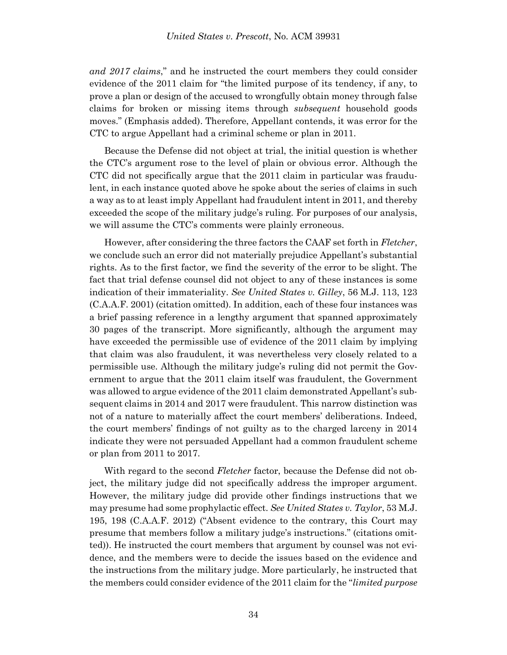*and 2017 claims*," and he instructed the court members they could consider evidence of the 2011 claim for "the limited purpose of its tendency, if any, to prove a plan or design of the accused to wrongfully obtain money through false claims for broken or missing items through *subsequent* household goods moves." (Emphasis added). Therefore, Appellant contends, it was error for the CTC to argue Appellant had a criminal scheme or plan in 2011.

Because the Defense did not object at trial, the initial question is whether the CTC's argument rose to the level of plain or obvious error. Although the CTC did not specifically argue that the 2011 claim in particular was fraudulent, in each instance quoted above he spoke about the series of claims in such a way as to at least imply Appellant had fraudulent intent in 2011, and thereby exceeded the scope of the military judge's ruling. For purposes of our analysis, we will assume the CTC's comments were plainly erroneous.

However, after considering the three factors the CAAF set forth in *Fletcher*, we conclude such an error did not materially prejudice Appellant's substantial rights. As to the first factor, we find the severity of the error to be slight. The fact that trial defense counsel did not object to any of these instances is some indication of their immateriality. *See United States v. Gilley*, 56 M.J. 113, 123 (C.A.A.F. 2001) (citation omitted). In addition, each of these four instances was a brief passing reference in a lengthy argument that spanned approximately 30 pages of the transcript. More significantly, although the argument may have exceeded the permissible use of evidence of the 2011 claim by implying that claim was also fraudulent, it was nevertheless very closely related to a permissible use. Although the military judge's ruling did not permit the Government to argue that the 2011 claim itself was fraudulent, the Government was allowed to argue evidence of the 2011 claim demonstrated Appellant's subsequent claims in 2014 and 2017 were fraudulent. This narrow distinction was not of a nature to materially affect the court members' deliberations. Indeed, the court members' findings of not guilty as to the charged larceny in 2014 indicate they were not persuaded Appellant had a common fraudulent scheme or plan from 2011 to 2017.

With regard to the second *Fletcher* factor, because the Defense did not object, the military judge did not specifically address the improper argument. However, the military judge did provide other findings instructions that we may presume had some prophylactic effect. *See United States v. Taylor*, 53 M.J. 195, 198 (C.A.A.F. 2012) ("Absent evidence to the contrary, this Court may presume that members follow a military judge's instructions." (citations omitted)). He instructed the court members that argument by counsel was not evidence, and the members were to decide the issues based on the evidence and the instructions from the military judge. More particularly, he instructed that the members could consider evidence of the 2011 claim for the "*limited purpose*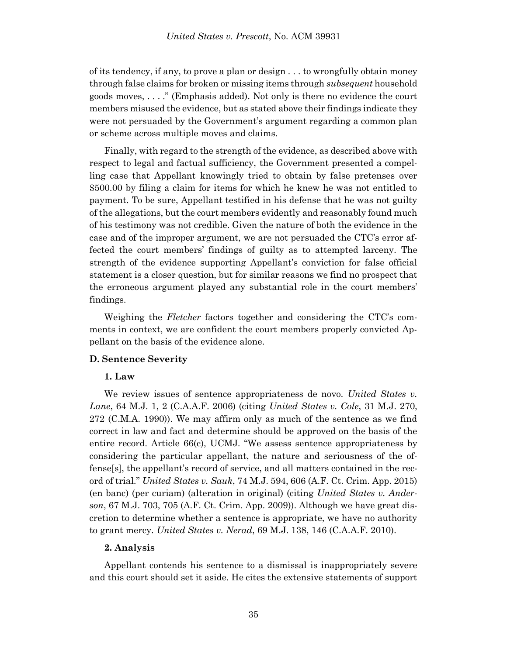of its tendency, if any, to prove a plan or design . . . to wrongfully obtain money through false claims for broken or missing items through *subsequent* household goods moves, . . . ." (Emphasis added). Not only is there no evidence the court members misused the evidence, but as stated above their findings indicate they were not persuaded by the Government's argument regarding a common plan or scheme across multiple moves and claims.

Finally, with regard to the strength of the evidence, as described above with respect to legal and factual sufficiency, the Government presented a compelling case that Appellant knowingly tried to obtain by false pretenses over \$500.00 by filing a claim for items for which he knew he was not entitled to payment. To be sure, Appellant testified in his defense that he was not guilty of the allegations, but the court members evidently and reasonably found much of his testimony was not credible. Given the nature of both the evidence in the case and of the improper argument, we are not persuaded the CTC's error affected the court members' findings of guilty as to attempted larceny. The strength of the evidence supporting Appellant's conviction for false official statement is a closer question, but for similar reasons we find no prospect that the erroneous argument played any substantial role in the court members' findings.

Weighing the *Fletcher* factors together and considering the CTC's comments in context, we are confident the court members properly convicted Appellant on the basis of the evidence alone.

# **D. Sentence Severity**

### **1. Law**

We review issues of sentence appropriateness de novo. *United States v. Lane*, 64 M.J. 1, 2 (C.A.A.F. 2006) (citing *United States v. Cole*, 31 M.J. 270, 272 (C.M.A. 1990)). We may affirm only as much of the sentence as we find correct in law and fact and determine should be approved on the basis of the entire record. Article 66(c), UCMJ. "We assess sentence appropriateness by considering the particular appellant, the nature and seriousness of the offense[s], the appellant's record of service, and all matters contained in the record of trial." *United States v. Sauk*, 74 M.J. 594, 606 (A.F. Ct. Crim. App. 2015) (en banc) (per curiam) (alteration in original) (citing *United States v. Anderson*, 67 M.J. 703, 705 (A.F. Ct. Crim. App. 2009)). Although we have great discretion to determine whether a sentence is appropriate, we have no authority to grant mercy. *United States v. Nerad*, 69 M.J. 138, 146 (C.A.A.F. 2010).

### **2. Analysis**

Appellant contends his sentence to a dismissal is inappropriately severe and this court should set it aside. He cites the extensive statements of support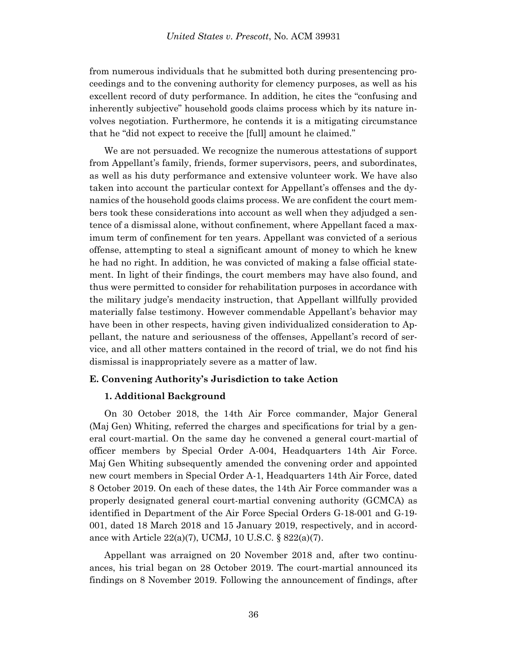from numerous individuals that he submitted both during presentencing proceedings and to the convening authority for clemency purposes, as well as his excellent record of duty performance. In addition, he cites the "confusing and inherently subjective" household goods claims process which by its nature involves negotiation. Furthermore, he contends it is a mitigating circumstance that he "did not expect to receive the [full] amount he claimed."

We are not persuaded. We recognize the numerous attestations of support from Appellant's family, friends, former supervisors, peers, and subordinates, as well as his duty performance and extensive volunteer work. We have also taken into account the particular context for Appellant's offenses and the dynamics of the household goods claims process. We are confident the court members took these considerations into account as well when they adjudged a sentence of a dismissal alone, without confinement, where Appellant faced a maximum term of confinement for ten years. Appellant was convicted of a serious offense, attempting to steal a significant amount of money to which he knew he had no right. In addition, he was convicted of making a false official statement. In light of their findings, the court members may have also found, and thus were permitted to consider for rehabilitation purposes in accordance with the military judge's mendacity instruction, that Appellant willfully provided materially false testimony. However commendable Appellant's behavior may have been in other respects, having given individualized consideration to Appellant, the nature and seriousness of the offenses, Appellant's record of service, and all other matters contained in the record of trial, we do not find his dismissal is inappropriately severe as a matter of law.

#### **E. Convening Authority's Jurisdiction to take Action**

#### **1. Additional Background**

On 30 October 2018, the 14th Air Force commander, Major General (Maj Gen) Whiting, referred the charges and specifications for trial by a general court-martial. On the same day he convened a general court-martial of officer members by Special Order A-004, Headquarters 14th Air Force. Maj Gen Whiting subsequently amended the convening order and appointed new court members in Special Order A-1, Headquarters 14th Air Force, dated 8 October 2019. On each of these dates, the 14th Air Force commander was a properly designated general court-martial convening authority (GCMCA) as identified in Department of the Air Force Special Orders G-18-001 and G-19- 001, dated 18 March 2018 and 15 January 2019, respectively, and in accordance with Article 22(a)(7), UCMJ, 10 U.S.C. § 822(a)(7).

Appellant was arraigned on 20 November 2018 and, after two continuances, his trial began on 28 October 2019. The court-martial announced its findings on 8 November 2019. Following the announcement of findings, after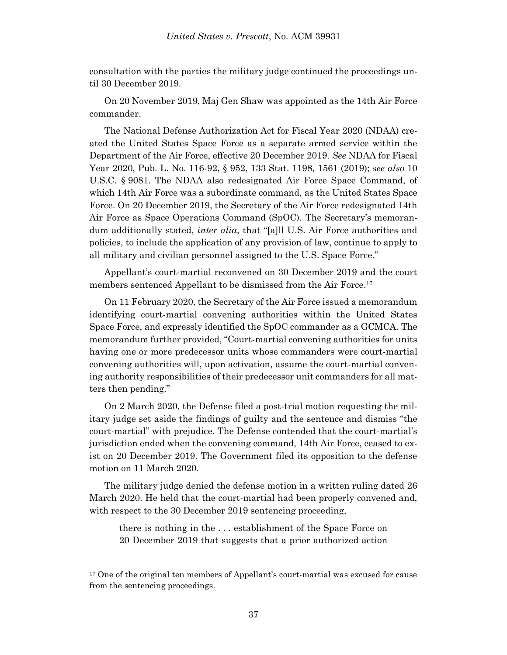consultation with the parties the military judge continued the proceedings until 30 December 2019.

On 20 November 2019, Maj Gen Shaw was appointed as the 14th Air Force commander.

The National Defense Authorization Act for Fiscal Year 2020 (NDAA) created the United States Space Force as a separate armed service within the Department of the Air Force, effective 20 December 2019. *See* NDAA for Fiscal Year 2020, Pub. L. No. 116-92, § 952, 133 Stat. 1198, 1561 (2019); *see also* 10 U.S.C. § 9081. The NDAA also redesignated Air Force Space Command, of which 14th Air Force was a subordinate command, as the United States Space Force. On 20 December 2019, the Secretary of the Air Force redesignated 14th Air Force as Space Operations Command (SpOC). The Secretary's memorandum additionally stated, *inter alia*, that "[a]ll U.S. Air Force authorities and policies, to include the application of any provision of law, continue to apply to all military and civilian personnel assigned to the U.S. Space Force."

Appellant's court-martial reconvened on 30 December 2019 and the court members sentenced Appellant to be dismissed from the Air Force.<sup>17</sup>

On 11 February 2020, the Secretary of the Air Force issued a memorandum identifying court-martial convening authorities within the United States Space Force, and expressly identified the SpOC commander as a GCMCA. The memorandum further provided, "Court-martial convening authorities for units having one or more predecessor units whose commanders were court-martial convening authorities will, upon activation, assume the court-martial convening authority responsibilities of their predecessor unit commanders for all matters then pending."

On 2 March 2020, the Defense filed a post-trial motion requesting the military judge set aside the findings of guilty and the sentence and dismiss "the court-martial" with prejudice. The Defense contended that the court-martial's jurisdiction ended when the convening command, 14th Air Force, ceased to exist on 20 December 2019. The Government filed its opposition to the defense motion on 11 March 2020.

The military judge denied the defense motion in a written ruling dated 26 March 2020. He held that the court-martial had been properly convened and, with respect to the 30 December 2019 sentencing proceeding,

there is nothing in the . . . establishment of the Space Force on 20 December 2019 that suggests that a prior authorized action

<sup>&</sup>lt;sup>17</sup> One of the original ten members of Appellant's court-martial was excused for cause from the sentencing proceedings.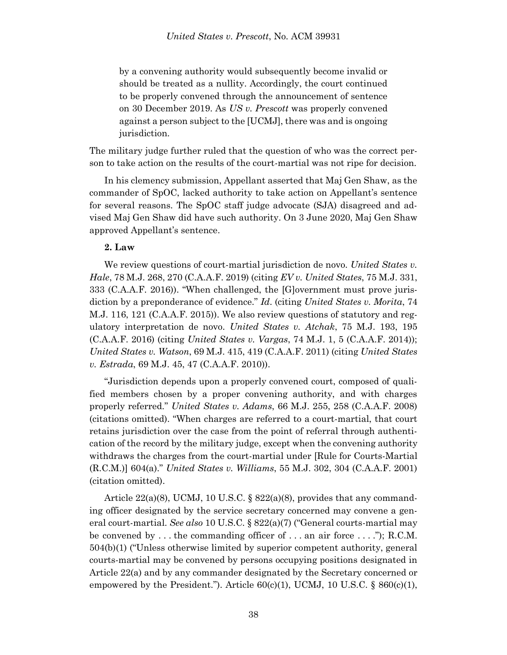by a convening authority would subsequently become invalid or should be treated as a nullity. Accordingly, the court continued to be properly convened through the announcement of sentence on 30 December 2019. As *US v. Prescott* was properly convened against a person subject to the [UCMJ], there was and is ongoing jurisdiction.

The military judge further ruled that the question of who was the correct person to take action on the results of the court-martial was not ripe for decision.

In his clemency submission, Appellant asserted that Maj Gen Shaw, as the commander of SpOC, lacked authority to take action on Appellant's sentence for several reasons. The SpOC staff judge advocate (SJA) disagreed and advised Maj Gen Shaw did have such authority. On 3 June 2020, Maj Gen Shaw approved Appellant's sentence.

# **2. Law**

We review questions of court-martial jurisdiction de novo. *United States v. Hale*, 78 M.J. 268, 270 (C.A.A.F. 2019) (citing *EV v. United States*, 75 M.J. 331, 333 (C.A.A.F. 2016)). "When challenged, the [G]overnment must prove jurisdiction by a preponderance of evidence." *Id*. (citing *United States v. Morita*, 74 M.J. 116, 121 (C.A.A.F. 2015)). We also review questions of statutory and regulatory interpretation de novo. *United States v. Atchak*, 75 M.J. 193, 195 (C.A.A.F. 2016) (citing *United States v. Vargas*, 74 M.J. 1, 5 (C.A.A.F. 2014)); *United States v. Watson*, 69 M.J. 415, 419 (C.A.A.F. 2011) (citing *United States v. Estrada*, 69 M.J. 45, 47 (C.A.A.F. 2010)).

"Jurisdiction depends upon a properly convened court, composed of qualified members chosen by a proper convening authority, and with charges properly referred." *United States v. Adams*, 66 M.J. 255, 258 (C.A.A.F. 2008) (citations omitted). "When charges are referred to a court-martial, that court retains jurisdiction over the case from the point of referral through authentication of the record by the military judge, except when the convening authority withdraws the charges from the court-martial under [Rule for Courts-Martial (R.C.M.)] 604(a)." *United States v. Williams*, 55 M.J. 302, 304 (C.A.A.F. 2001) (citation omitted).

Article  $22(a)(8)$ , UCMJ, 10 U.S.C. §  $822(a)(8)$ , provides that any commanding officer designated by the service secretary concerned may convene a general court-martial. *See also* 10 U.S.C. § 822(a)(7) ("General courts-martial may be convened by  $\dots$  the commanding officer of  $\dots$  an air force  $\dots$ ."); R.C.M. 504(b)(1) ("Unless otherwise limited by superior competent authority, general courts-martial may be convened by persons occupying positions designated in Article 22(a) and by any commander designated by the Secretary concerned or empowered by the President."). Article  $60(c)(1)$ , UCMJ, 10 U.S.C. §  $860(c)(1)$ ,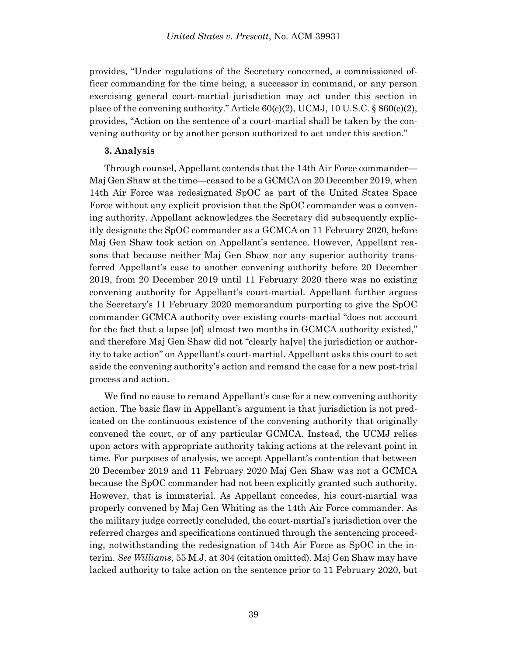provides, "Under regulations of the Secretary concerned, a commissioned officer commanding for the time being, a successor in command, or any person exercising general court-martial jurisdiction may act under this section in place of the convening authority." Article 60(c)(2), UCMJ, 10 U.S.C. § 860(c)(2), provides, "Action on the sentence of a court-martial shall be taken by the convening authority or by another person authorized to act under this section."

### **3. Analysis**

Through counsel, Appellant contends that the 14th Air Force commander— Maj Gen Shaw at the time—ceased to be a GCMCA on 20 December 2019, when 14th Air Force was redesignated SpOC as part of the United States Space Force without any explicit provision that the SpOC commander was a convening authority. Appellant acknowledges the Secretary did subsequently explicitly designate the SpOC commander as a GCMCA on 11 February 2020, before Maj Gen Shaw took action on Appellant's sentence. However, Appellant reasons that because neither Maj Gen Shaw nor any superior authority transferred Appellant's case to another convening authority before 20 December 2019, from 20 December 2019 until 11 February 2020 there was no existing convening authority for Appellant's court-martial. Appellant further argues the Secretary's 11 February 2020 memorandum purporting to give the SpOC commander GCMCA authority over existing courts-martial "does not account for the fact that a lapse [of] almost two months in GCMCA authority existed," and therefore Maj Gen Shaw did not "clearly ha[ve] the jurisdiction or authority to take action" on Appellant's court-martial. Appellant asks this court to set aside the convening authority's action and remand the case for a new post-trial process and action.

We find no cause to remand Appellant's case for a new convening authority action. The basic flaw in Appellant's argument is that jurisdiction is not predicated on the continuous existence of the convening authority that originally convened the court, or of any particular GCMCA. Instead, the UCMJ relies upon actors with appropriate authority taking actions at the relevant point in time. For purposes of analysis, we accept Appellant's contention that between 20 December 2019 and 11 February 2020 Maj Gen Shaw was not a GCMCA because the SpOC commander had not been explicitly granted such authority. However, that is immaterial. As Appellant concedes, his court-martial was properly convened by Maj Gen Whiting as the 14th Air Force commander. As the military judge correctly concluded, the court-martial's jurisdiction over the referred charges and specifications continued through the sentencing proceeding, notwithstanding the redesignation of 14th Air Force as SpOC in the interim. *See Williams*, 55 M.J. at 304 (citation omitted). Maj Gen Shaw may have lacked authority to take action on the sentence prior to 11 February 2020, but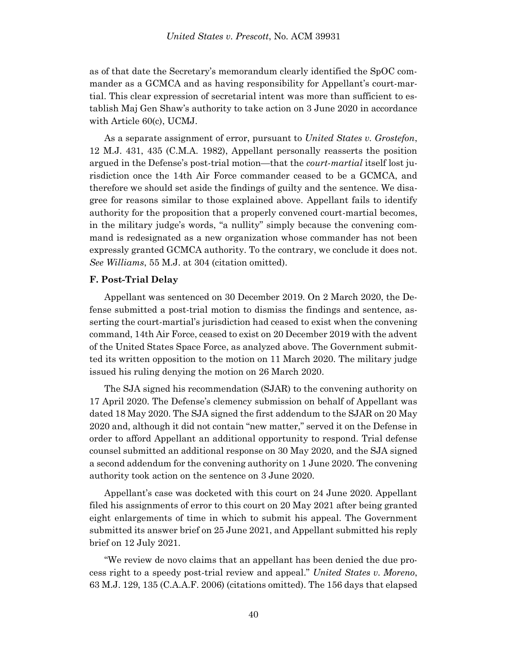as of that date the Secretary's memorandum clearly identified the SpOC commander as a GCMCA and as having responsibility for Appellant's court-martial. This clear expression of secretarial intent was more than sufficient to establish Maj Gen Shaw's authority to take action on 3 June 2020 in accordance with Article 60(c), UCMJ.

As a separate assignment of error, pursuant to *United States v. Grostefon*, 12 M.J. 431, 435 (C.M.A. 1982), Appellant personally reasserts the position argued in the Defense's post-trial motion—that the *court-martial* itself lost jurisdiction once the 14th Air Force commander ceased to be a GCMCA, and therefore we should set aside the findings of guilty and the sentence. We disagree for reasons similar to those explained above. Appellant fails to identify authority for the proposition that a properly convened court-martial becomes, in the military judge's words, "a nullity" simply because the convening command is redesignated as a new organization whose commander has not been expressly granted GCMCA authority. To the contrary, we conclude it does not. *See Williams*, 55 M.J. at 304 (citation omitted).

#### **F. Post-Trial Delay**

Appellant was sentenced on 30 December 2019. On 2 March 2020, the Defense submitted a post-trial motion to dismiss the findings and sentence, asserting the court-martial's jurisdiction had ceased to exist when the convening command, 14th Air Force, ceased to exist on 20 December 2019 with the advent of the United States Space Force, as analyzed above. The Government submitted its written opposition to the motion on 11 March 2020. The military judge issued his ruling denying the motion on 26 March 2020.

The SJA signed his recommendation (SJAR) to the convening authority on 17 April 2020. The Defense's clemency submission on behalf of Appellant was dated 18 May 2020. The SJA signed the first addendum to the SJAR on 20 May 2020 and, although it did not contain "new matter," served it on the Defense in order to afford Appellant an additional opportunity to respond. Trial defense counsel submitted an additional response on 30 May 2020, and the SJA signed a second addendum for the convening authority on 1 June 2020. The convening authority took action on the sentence on 3 June 2020.

Appellant's case was docketed with this court on 24 June 2020. Appellant filed his assignments of error to this court on 20 May 2021 after being granted eight enlargements of time in which to submit his appeal. The Government submitted its answer brief on 25 June 2021, and Appellant submitted his reply brief on 12 July 2021.

"We review de novo claims that an appellant has been denied the due process right to a speedy post-trial review and appeal." *United States v. Moreno*, 63 M.J. 129, 135 (C.A.A.F. 2006) (citations omitted). The 156 days that elapsed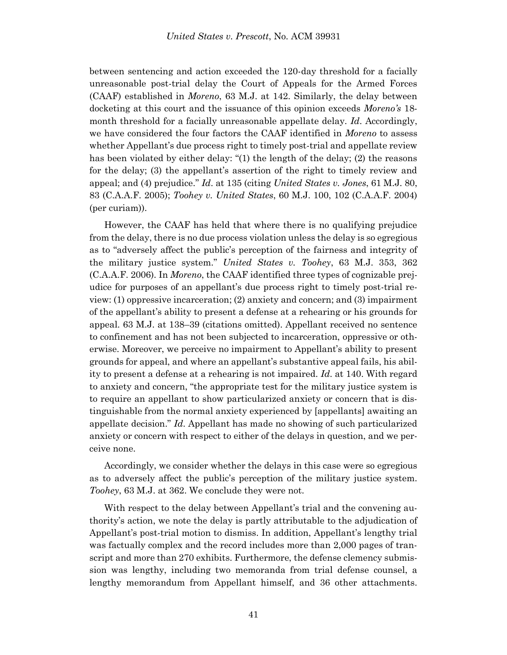between sentencing and action exceeded the 120-day threshold for a facially unreasonable post-trial delay the Court of Appeals for the Armed Forces (CAAF) established in *Moreno*, 63 M.J. at 142. Similarly, the delay between docketing at this court and the issuance of this opinion exceeds *Moreno's* 18 month threshold for a facially unreasonable appellate delay. *Id*. Accordingly, we have considered the four factors the CAAF identified in *Moreno* to assess whether Appellant's due process right to timely post-trial and appellate review has been violated by either delay: "(1) the length of the delay; (2) the reasons for the delay; (3) the appellant's assertion of the right to timely review and appeal; and (4) prejudice." *Id*. at 135 (citing *United States v. Jones*, 61 M.J. 80, 83 (C.A.A.F. 2005); *Toohey v. United States*, 60 M.J. 100, 102 (C.A.A.F. 2004) (per curiam)).

However, the CAAF has held that where there is no qualifying prejudice from the delay, there is no due process violation unless the delay is so egregious as to "adversely affect the public's perception of the fairness and integrity of the military justice system." *United States v. Toohey*, 63 M.J. 353, 362 (C.A.A.F. 2006). In *Moreno*, the CAAF identified three types of cognizable prejudice for purposes of an appellant's due process right to timely post-trial review: (1) oppressive incarceration; (2) anxiety and concern; and (3) impairment of the appellant's ability to present a defense at a rehearing or his grounds for appeal. 63 M.J. at 138–39 (citations omitted). Appellant received no sentence to confinement and has not been subjected to incarceration, oppressive or otherwise. Moreover, we perceive no impairment to Appellant's ability to present grounds for appeal, and where an appellant's substantive appeal fails, his ability to present a defense at a rehearing is not impaired. *Id*. at 140. With regard to anxiety and concern, "the appropriate test for the military justice system is to require an appellant to show particularized anxiety or concern that is distinguishable from the normal anxiety experienced by [appellants] awaiting an appellate decision." *Id*. Appellant has made no showing of such particularized anxiety or concern with respect to either of the delays in question, and we perceive none.

Accordingly, we consider whether the delays in this case were so egregious as to adversely affect the public's perception of the military justice system. *Toohey*, 63 M.J. at 362. We conclude they were not.

With respect to the delay between Appellant's trial and the convening authority's action, we note the delay is partly attributable to the adjudication of Appellant's post-trial motion to dismiss. In addition, Appellant's lengthy trial was factually complex and the record includes more than 2,000 pages of transcript and more than 270 exhibits. Furthermore, the defense clemency submission was lengthy, including two memoranda from trial defense counsel, a lengthy memorandum from Appellant himself, and 36 other attachments.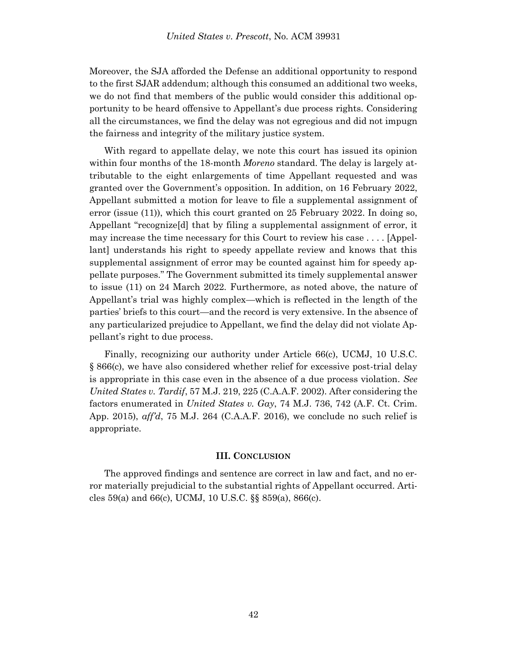Moreover, the SJA afforded the Defense an additional opportunity to respond to the first SJAR addendum; although this consumed an additional two weeks, we do not find that members of the public would consider this additional opportunity to be heard offensive to Appellant's due process rights. Considering all the circumstances, we find the delay was not egregious and did not impugn the fairness and integrity of the military justice system.

With regard to appellate delay, we note this court has issued its opinion within four months of the 18-month *Moreno* standard. The delay is largely attributable to the eight enlargements of time Appellant requested and was granted over the Government's opposition. In addition, on 16 February 2022, Appellant submitted a motion for leave to file a supplemental assignment of error (issue (11)), which this court granted on 25 February 2022. In doing so, Appellant "recognize[d] that by filing a supplemental assignment of error, it may increase the time necessary for this Court to review his case . . . . [Appellant] understands his right to speedy appellate review and knows that this supplemental assignment of error may be counted against him for speedy appellate purposes." The Government submitted its timely supplemental answer to issue (11) on 24 March 2022. Furthermore, as noted above, the nature of Appellant's trial was highly complex—which is reflected in the length of the parties' briefs to this court—and the record is very extensive. In the absence of any particularized prejudice to Appellant, we find the delay did not violate Appellant's right to due process.

Finally, recognizing our authority under Article 66(c), UCMJ, 10 U.S.C. § 866(c), we have also considered whether relief for excessive post-trial delay is appropriate in this case even in the absence of a due process violation. *See United States v. Tardif*, 57 M.J. 219, 225 (C.A.A.F. 2002). After considering the factors enumerated in *United States v. Gay*, 74 M.J. 736, 742 (A.F. Ct. Crim. App. 2015), *aff'd*, 75 M.J. 264 (C.A.A.F. 2016), we conclude no such relief is appropriate.

#### **III. CONCLUSION**

The approved findings and sentence are correct in law and fact, and no error materially prejudicial to the substantial rights of Appellant occurred. Articles 59(a) and 66(c), UCMJ, 10 U.S.C. §§ 859(a), 866(c).